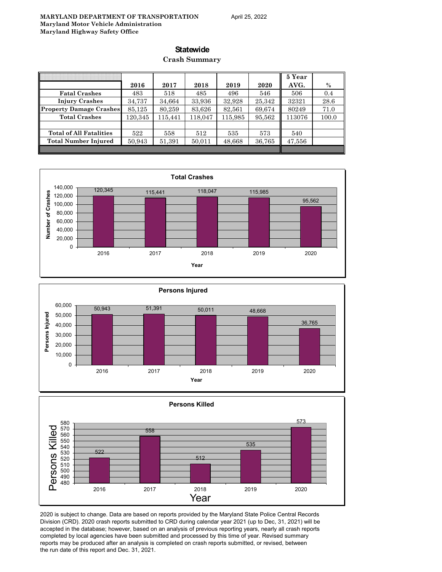#### **Statewide**

#### **Crash Summary**

|                                |         |         |         |         |        | 5 Year |       |
|--------------------------------|---------|---------|---------|---------|--------|--------|-------|
|                                | 2016    | 2017    | 2018    | 2019    | 2020   | AVG.   | $\%$  |
| <b>Fatal Crashes</b>           | 483     | 518     | 485     | 496     | 546    | 506    | 0.4   |
| <b>Injury Crashes</b>          | 34.737  | 34.664  | 33,936  | 32,928  | 25,342 | 32321  | 28.6  |
| <b>Property Damage Crashes</b> | 85,125  | 80,259  | 83,626  | 82,561  | 69,674 | 80249  | 71.0  |
| <b>Total Crashes</b>           | 120.345 | 115.441 | 118.047 | 115,985 | 95,562 | 113076 | 100.0 |
|                                |         |         |         |         |        |        |       |
| <b>Total of All Fatalities</b> | 522     | 558     | 512     | 535     | 573    | 540    |       |
| Total Number Injured           | 50,943  | 51,391  | 50,011  | 48,668  | 36,765 | 47,556 |       |
|                                |         |         |         |         |        |        |       |







2020 is subject to change. Data are based on reports provided by the Maryland State Police Central Records Division (CRD). 2020 crash reports submitted to CRD during calendar year 2021 (up to Dec, 31, 2021) will be accepted in the database; however, based on an analysis of previous reporting years, nearly all crash reports completed by local agencies have been submitted and processed by this time of year. Revised summary reports may be produced after an analysis is completed on crash reports submitted, or revised, between the run date of this report and Dec. 31, 2021.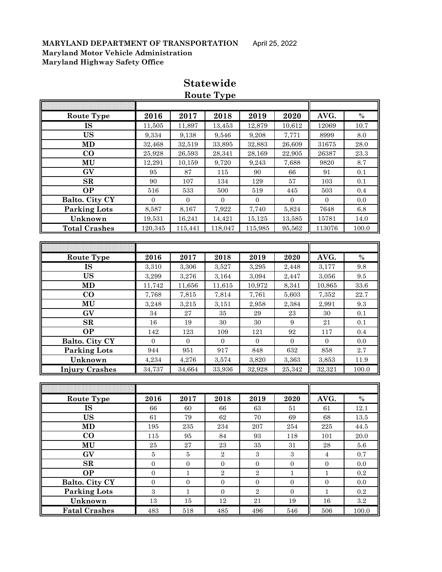| Route Type             | 2016           | 2017         | 2018             | 2019             | 2020           | AVG.             | $\%$     |
|------------------------|----------------|--------------|------------------|------------------|----------------|------------------|----------|
| IS                     | 11,505         | 11,897       | 13,453           | 12,879           | 10,612         | 12069            | 10.7     |
| <b>US</b>              | 9,334          | 9,138        | 9,546            | 9,208            | 7,771          | 8999             | 8.0      |
| MD                     | 32,468         | 32,519       | 33,895           | 32,883           | 26,609         | 31675            | 28.0     |
| $\bf CO$               | 25,928         | 26,593       | 28,341           | 28,169           | 22,905         | 26387            | 23.3     |
| MU                     | 12,291         | 10,159       | 9,720            | 9,243            | 7,688          | 9820             | 8.7      |
| GV                     | 95             | 87           | 115              | 90               | 66             | 91               | 0.1      |
| SR                     | 90             | 107          | 134              | 129              | 57             | 103              | 0.1      |
| <b>OP</b>              | 516            | 533          | 500              | 519              | 445            | 503              | 0.4      |
| <b>Balto. City CY</b>  | $\overline{0}$ | $\mathbf{0}$ | $\boldsymbol{0}$ | $\overline{0}$   | $\overline{0}$ | $\boldsymbol{0}$ | 0.0      |
| <b>Parking Lots</b>    | 8,587          | 8,167        | 7,922            | 7,740            | 5,824          | 7648             | 6.8      |
| Unknown                | 19,531         | 16,241       | 14,421           | 15,125           | 13,585         | 15781            | 14.0     |
| <b>Total Crashes</b>   | 120,345        | 115,441      | 118,047          | 115,985          | 95,562         | 113076           | 100.0    |
|                        |                |              |                  |                  |                |                  |          |
|                        |                |              |                  |                  |                |                  |          |
| <b>Route Type</b>      | 2016           | 2017         | 2018             | 2019             | 2020           | AVG.             | $\%$     |
| $\overline{\text{IS}}$ | 3,310          | 3,306        | 3,527            | 3,295            | 2,448          | 3,177            | 9.8      |
| <b>US</b>              | 3,299          | 3,276        | 3,164            | 3,094            | 2,447          | 3,056            | 9.5      |
| <b>MD</b>              | 11,742         | 11,656       | 11,615           | 10,972           | 8,341          | 10,865           | 33.6     |
| CO                     | 7,768          | 7,815        | 7,814            | 7,761            | 5,603          | 7,352            | 22.7     |
| MU                     | 3,248          | 3,215        | 3,151            | 2.958            | 2,384          | 2,991            | 9.3      |
| GV                     | 34             | $\sqrt{27}$  | 35               | 29               | 23             | 30               | 0.1      |
| SR                     | 16             | 19           | 30               | 30               | 9              | 21               | 0.1      |
| <b>OP</b>              | 142            | 123          | 109              | 121              | 92             | 117              | 0.4      |
| Balto. City CY         | $\mathbf{0}$   | $\mathbf{0}$ | $\boldsymbol{0}$ | $\boldsymbol{0}$ | $\overline{0}$ | $\boldsymbol{0}$ | 0.0      |
| <b>Parking Lots</b>    | 944            | 951          | 917              | 848              | 632            | 858              | 2.7      |
| Unknown                | 4,234          | 4,276        | 3,574            | 3,820            | 3,363          | 3,853            | 11.9     |
| <b>Injury Crashes</b>  | 34,737         | 34,664       | 33,936           | 32,928           | 25,342         | 32,321           | 100.0    |
|                        |                |              |                  |                  |                |                  |          |
|                        |                |              |                  |                  |                |                  |          |
| <b>Route Type</b>      | 2016           | 2017         | 2018             | 2019             | 2020           | AVG.             | $\%$     |
| <b>IS</b>              | 66             | 60           | 66               | 63               | 51             | 61               | 12.1     |
| <b>US</b>              | 61             | 79           | $62\,$           | 70               | 69             | 68               | $13.5\,$ |

## **Statewide Route Type**

| Route Type           | 2016     | 2017     | 2018           | 2019           | 2020     | AVG.     | $\%$    |
|----------------------|----------|----------|----------------|----------------|----------|----------|---------|
| IS                   | 66       | 60       | 66             | 63             | 51       | 61       | 12.1    |
| <b>US</b>            | 61       | 79       | 62             | 70             | 69       | 68       | 13.5    |
| MD                   | 195      | 235      | 234            | 207            | 254      | 225      | 44.5    |
| $\bf{CO}$            | 115      | 95       | 84             | 93             | 118      | 101      | 20.0    |
| MU                   | 25       | 27       | 23             | 35             | 31       | 28       | 5.6     |
| GV                   | 5        | 5        | $\overline{2}$ | 3              | 3        | 4        | 0.7     |
| SR                   | $\Omega$ | $\Omega$ | $\Omega$       | $\Omega$       | $\Omega$ | $\Omega$ | 0.0     |
| <b>OP</b>            | $\Omega$ | п        | 2              | $\overline{2}$ |          |          | 0.2     |
| Balto. City CY       | $\Omega$ | $\Omega$ | $\theta$       | $\Omega$       | $\Omega$ | $\Omega$ | 0.0     |
| <b>Parking Lots</b>  | 3        | 1        | $\Omega$       | $\overline{2}$ | $\Omega$ | 1        | 0.2     |
| Unknown              | 13       | 15       | 12             | 21             | 19       | 16       | $3.2\,$ |
| <b>Fatal Crashes</b> | 483      | 518      | 485            | 496            | 546      | 506      | 100.0   |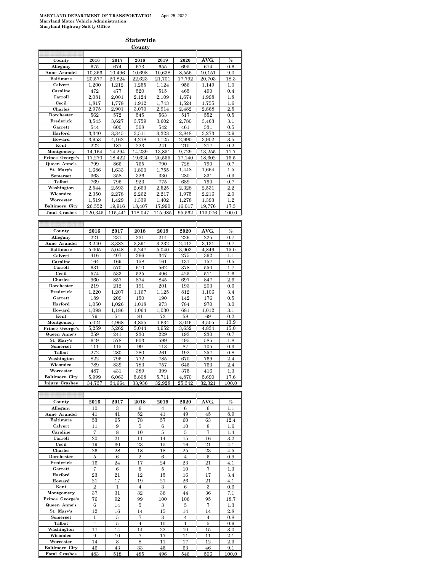ĸ

**Statewide County**

| AVG.<br>County<br>2016<br>2019<br>2020<br>%<br>2017<br>2018<br>674<br>Allegany<br>675<br>674<br>673<br>655<br>695<br>$0.6\,$<br>Anne Arundel<br>10.366<br>10.496<br>10,698<br>10.638<br>8.556<br>10.151<br>9.0<br><b>Baltimore</b><br>20,703<br>20.577<br>20,824<br>22,623<br>$^{21,701}$<br>17.792<br>18.3<br>1,200<br>1,212<br>1,124<br>1,149<br>Calvert<br>1,255<br>956<br>1.0<br>Caroline<br>472<br>477<br>520<br>515<br>465<br>490<br>0.4<br>1,998<br>Carroll<br>2,081<br>2,001<br>2,124<br>2,109<br>1,674<br>1.8<br>Cecil<br>1,817<br>1.778<br>1,912<br>1,743<br>1,524<br>1,755<br>$1.6\,$<br>Charles<br>2,868<br>2.5<br>2,975<br>2,901<br>3,070<br>2,914<br>2,482<br>562<br>572<br>545<br>563<br>517<br>552<br>Dorchester<br>0.5<br>3,759<br>Frederick<br>3,545<br>3,627<br>3,602<br>2,780<br>3,463<br>3.1<br>Garrett<br>544<br>600<br>508<br>542<br>461<br>531<br>$_{0.5}$<br>Harford<br>3,340<br>3,345<br>3,323<br>2,848<br>3,273<br>3.511<br>$2.9\,$<br>Howard<br>3,953<br>4,162<br>4.278<br>2,990<br>3,902<br>4,125<br>$3.5\,$<br>222<br>223<br>Kent<br>187<br>241<br>210<br>217<br>0.2<br>Montgomery<br>14,164<br>14,294<br>14,239<br>13,851<br>9,729<br>13,255<br>11.7<br>Prince George's<br>17.270<br>18.422<br>19.624<br>20,555<br>17,140<br>18,602<br>16.5<br>Queen Anne's<br>799<br>866<br>765<br>790<br>728<br>790<br>0.7<br>St. Mary's<br>1,800<br>1,686<br>1,633<br>1,755<br>1,448<br>1,664<br>1.5<br>363<br>358<br>330<br>280<br>331<br>0.3<br>Somerset<br>326<br>Talbot<br>769<br>796<br>923<br>775<br>689<br>790<br>0.7<br>2.2<br>Washington<br>2,544<br>2,593<br>2,663<br>2,525<br>2,328<br>2,531<br>Wicomico<br>2,350<br>2,278<br>2,262<br>2,217<br>2,216<br>1.975<br>$2.0\,$<br>Worcester<br>1.519<br>1,429<br>1,339<br>1,402<br>1,278<br>1,393<br>1.2<br>17,990<br>19,776<br>17.5<br><b>Baltimore City</b><br>26,552<br>19,916<br>18,407<br>16,017<br><b>Total Crashes</b><br>120.345<br>118,047<br>115,985<br>113,076<br>100.0<br>115,441<br>95.562<br>2020<br>AVG.<br>$\%$<br>County<br>2016<br>2017<br>2018<br>2019<br>231<br>231<br>226<br>225<br>0.7<br>Allegany<br>221<br>214<br>Anne Arundel<br>3,240<br>3,382<br>3,391<br>3,232<br>2,412<br>3,131<br>9.7<br>5,247<br>3,903<br>15.0<br><b>Baltimore</b><br>5,005<br>5,048<br>5,040<br>4,849<br>Calvert<br>416<br>407<br>366<br>347<br>275<br>362<br>1.1<br>Caroline<br>164<br>169<br>158<br>161<br>131<br>157<br>$_{0.5}$<br>Carroll<br>570<br>378<br>631<br>610<br>562<br>550<br>1.7<br>Cecil<br>574<br>533<br>525<br>496<br>425<br>511<br>$1.6\,$<br>Charles<br>960<br>857<br>874<br>845<br>2.6<br>697<br>847<br>Dorchester<br>219<br>212<br>191<br>201<br>193<br>203<br>$0.6\,$<br>1,220<br>3.4<br>Frederick<br>1,207<br>1,167<br>1,125<br>812<br>1,106<br>Garrett<br>150<br>189<br>209<br>190<br>142<br>176<br>0.5<br>Harford<br>1,050<br>1,026<br>1,018<br>973<br>784<br>970<br>$3.0\,$<br>1,064<br>1,030<br>1,012<br>3.1<br>Howard<br>1,098<br>1,186<br>681<br>Kent<br>79<br>72<br>54<br>81<br>58<br>69<br>0.2<br>4,634<br>Montgomery<br>5,024<br>4,968<br>4,855<br>3,046<br>4,505<br>13.9<br>Prince George's<br>5,259<br>5,262<br>5,044<br>4,952<br>3,652<br>4,834<br>15.0<br>Queen Anne's<br>241<br>230<br>229<br>230<br>259<br>193<br>0.7<br>St. Mary's<br>578<br>$1.8\,$<br>649<br>603<br>599<br>495<br>585<br>Somerset<br>111<br>115<br>99<br>113<br>87<br>105<br>0.3<br>261<br>Talbot<br>272<br>280<br>280<br>192<br>257<br>0.8<br>822<br>796<br>772<br>2.4<br>Washington<br>785<br>670<br>769<br>Wicomico<br>789<br>839<br>783<br>757<br>645<br>763<br>$2.4\,$<br>1.3<br>487<br>431<br>399<br>375<br>Worcester<br>389<br>416<br>5,690<br>17.6<br>Baltimore<br>5.999<br>6,063<br>5.808<br>5.711<br>4.870<br>City<br>Injury Crashes<br>32,928<br>25,342<br>32,321<br>34,737<br>34,664<br>33,936<br>100.0<br>AVG.<br>County<br>2016<br>2017<br>2018<br>2019<br>2020<br>%<br>Allegany<br>10<br>3<br>6<br>6<br>6<br>1.1<br>4<br>Anne Arundel<br>41<br>52<br>41<br>41<br>49<br>45<br>8.9<br><b>Baltimore</b><br>53<br>65<br>78<br>57<br>63<br>12.4<br>60<br>Calvert<br>11<br>9<br>5<br>6<br>8<br>10<br>$1.6\,$<br>7<br>8<br>10<br>7<br>Caroline<br>5<br>5<br>1.4<br>Carroll<br>21<br>$^{20}$<br>11<br>14<br>15<br>16<br>$3.2\,$<br>30<br>Cecil<br>19<br>23<br>15<br>21<br>4.1<br>16<br>Charles<br>26<br>28<br>18<br>18<br>25<br>23<br>4.5<br>$\overline{2}$<br>5<br>6<br>6<br>Dorchester<br>4<br>5<br>0.9<br>16<br>24<br>17<br>24<br>23<br>21<br>Frederick<br>4.1<br>Garrett<br>7<br>6<br>5<br>5<br>10<br>7<br>$1.3\,$<br>23<br>21<br>12<br>17<br>3.4<br>Harford<br>15<br>16<br>Howard<br>21<br>17<br>19<br>21<br>26<br>21<br>4.1<br>Kent<br>$\overline{2}$<br>$\overline{4}$<br>3<br>6<br>3<br>1<br>$_{0.6}$<br>37<br>31<br>32<br>36<br>44<br>Montgomery<br>36<br>7.1<br>Prince George's<br>76<br>92<br>99<br>100<br>$106\,$<br>95<br>18.7<br>Queen Anne's<br>3<br>7<br>6<br>5<br>1.3<br>14<br>5<br>St. Mary's<br>12<br>14<br>15<br>14<br>14<br>$2.8\,$<br>16<br>Somerset<br>5<br>7<br>3<br>$\overline{4}$<br>1<br>4<br>$_{0.8}$<br>Talbot<br>$\overline{4}$<br>$\overline{4}$<br>10<br>1<br>5<br>5<br>$_{0.9}$<br>Washington<br>22<br>17<br>14<br>14<br>10<br>15<br>$3.0\,$<br>7<br>17<br>2.1<br>Wicomico<br>9<br>10<br>11<br>11<br>Worcester<br>14<br>8<br>8<br>17<br>12<br>$^{2.3}$<br>11<br>43<br><b>Baltimore City</b><br>46<br>33<br>45<br>63<br>46<br>9.1 |  |  |  |  |
|------------------------------------------------------------------------------------------------------------------------------------------------------------------------------------------------------------------------------------------------------------------------------------------------------------------------------------------------------------------------------------------------------------------------------------------------------------------------------------------------------------------------------------------------------------------------------------------------------------------------------------------------------------------------------------------------------------------------------------------------------------------------------------------------------------------------------------------------------------------------------------------------------------------------------------------------------------------------------------------------------------------------------------------------------------------------------------------------------------------------------------------------------------------------------------------------------------------------------------------------------------------------------------------------------------------------------------------------------------------------------------------------------------------------------------------------------------------------------------------------------------------------------------------------------------------------------------------------------------------------------------------------------------------------------------------------------------------------------------------------------------------------------------------------------------------------------------------------------------------------------------------------------------------------------------------------------------------------------------------------------------------------------------------------------------------------------------------------------------------------------------------------------------------------------------------------------------------------------------------------------------------------------------------------------------------------------------------------------------------------------------------------------------------------------------------------------------------------------------------------------------------------------------------------------------------------------------------------------------------------------------------------------------------------------------------------------------------------------------------------------------------------------------------------------------------------------------------------------------------------------------------------------------------------------------------------------------------------------------------------------------------------------------------------------------------------------------------------------------------------------------------------------------------------------------------------------------------------------------------------------------------------------------------------------------------------------------------------------------------------------------------------------------------------------------------------------------------------------------------------------------------------------------------------------------------------------------------------------------------------------------------------------------------------------------------------------------------------------------------------------------------------------------------------------------------------------------------------------------------------------------------------------------------------------------------------------------------------------------------------------------------------------------------------------------------------------------------------------------------------------------------------------------------------------------------------------------------------------------------------------------------------------------------------------------------------------------------------------------------------------------------------------------------------------------------------------------------------------------------------------------------------------------------------------------------------------------------------------------------------------------------------------------------------------------------------------------------------------------------------------------------------------------------------------------------------------------------------------------------------------------------------------------------------------------------------------------------------------------------------------------------------------------------------------------------------------------------------------------------------------------------------------------------------------------------------------------------------------------------------------------------------------------------------------------------------------------------------------------|--|--|--|--|
|                                                                                                                                                                                                                                                                                                                                                                                                                                                                                                                                                                                                                                                                                                                                                                                                                                                                                                                                                                                                                                                                                                                                                                                                                                                                                                                                                                                                                                                                                                                                                                                                                                                                                                                                                                                                                                                                                                                                                                                                                                                                                                                                                                                                                                                                                                                                                                                                                                                                                                                                                                                                                                                                                                                                                                                                                                                                                                                                                                                                                                                                                                                                                                                                                                                                                                                                                                                                                                                                                                                                                                                                                                                                                                                                                                                                                                                                                                                                                                                                                                                                                                                                                                                                                                                                                                                                                                                                                                                                                                                                                                                                                                                                                                                                                                                                                                                                                                                                                                                                                                                                                                                                                                                                                                                                                                                                                            |  |  |  |  |
|                                                                                                                                                                                                                                                                                                                                                                                                                                                                                                                                                                                                                                                                                                                                                                                                                                                                                                                                                                                                                                                                                                                                                                                                                                                                                                                                                                                                                                                                                                                                                                                                                                                                                                                                                                                                                                                                                                                                                                                                                                                                                                                                                                                                                                                                                                                                                                                                                                                                                                                                                                                                                                                                                                                                                                                                                                                                                                                                                                                                                                                                                                                                                                                                                                                                                                                                                                                                                                                                                                                                                                                                                                                                                                                                                                                                                                                                                                                                                                                                                                                                                                                                                                                                                                                                                                                                                                                                                                                                                                                                                                                                                                                                                                                                                                                                                                                                                                                                                                                                                                                                                                                                                                                                                                                                                                                                                            |  |  |  |  |
|                                                                                                                                                                                                                                                                                                                                                                                                                                                                                                                                                                                                                                                                                                                                                                                                                                                                                                                                                                                                                                                                                                                                                                                                                                                                                                                                                                                                                                                                                                                                                                                                                                                                                                                                                                                                                                                                                                                                                                                                                                                                                                                                                                                                                                                                                                                                                                                                                                                                                                                                                                                                                                                                                                                                                                                                                                                                                                                                                                                                                                                                                                                                                                                                                                                                                                                                                                                                                                                                                                                                                                                                                                                                                                                                                                                                                                                                                                                                                                                                                                                                                                                                                                                                                                                                                                                                                                                                                                                                                                                                                                                                                                                                                                                                                                                                                                                                                                                                                                                                                                                                                                                                                                                                                                                                                                                                                            |  |  |  |  |
|                                                                                                                                                                                                                                                                                                                                                                                                                                                                                                                                                                                                                                                                                                                                                                                                                                                                                                                                                                                                                                                                                                                                                                                                                                                                                                                                                                                                                                                                                                                                                                                                                                                                                                                                                                                                                                                                                                                                                                                                                                                                                                                                                                                                                                                                                                                                                                                                                                                                                                                                                                                                                                                                                                                                                                                                                                                                                                                                                                                                                                                                                                                                                                                                                                                                                                                                                                                                                                                                                                                                                                                                                                                                                                                                                                                                                                                                                                                                                                                                                                                                                                                                                                                                                                                                                                                                                                                                                                                                                                                                                                                                                                                                                                                                                                                                                                                                                                                                                                                                                                                                                                                                                                                                                                                                                                                                                            |  |  |  |  |
|                                                                                                                                                                                                                                                                                                                                                                                                                                                                                                                                                                                                                                                                                                                                                                                                                                                                                                                                                                                                                                                                                                                                                                                                                                                                                                                                                                                                                                                                                                                                                                                                                                                                                                                                                                                                                                                                                                                                                                                                                                                                                                                                                                                                                                                                                                                                                                                                                                                                                                                                                                                                                                                                                                                                                                                                                                                                                                                                                                                                                                                                                                                                                                                                                                                                                                                                                                                                                                                                                                                                                                                                                                                                                                                                                                                                                                                                                                                                                                                                                                                                                                                                                                                                                                                                                                                                                                                                                                                                                                                                                                                                                                                                                                                                                                                                                                                                                                                                                                                                                                                                                                                                                                                                                                                                                                                                                            |  |  |  |  |
|                                                                                                                                                                                                                                                                                                                                                                                                                                                                                                                                                                                                                                                                                                                                                                                                                                                                                                                                                                                                                                                                                                                                                                                                                                                                                                                                                                                                                                                                                                                                                                                                                                                                                                                                                                                                                                                                                                                                                                                                                                                                                                                                                                                                                                                                                                                                                                                                                                                                                                                                                                                                                                                                                                                                                                                                                                                                                                                                                                                                                                                                                                                                                                                                                                                                                                                                                                                                                                                                                                                                                                                                                                                                                                                                                                                                                                                                                                                                                                                                                                                                                                                                                                                                                                                                                                                                                                                                                                                                                                                                                                                                                                                                                                                                                                                                                                                                                                                                                                                                                                                                                                                                                                                                                                                                                                                                                            |  |  |  |  |
|                                                                                                                                                                                                                                                                                                                                                                                                                                                                                                                                                                                                                                                                                                                                                                                                                                                                                                                                                                                                                                                                                                                                                                                                                                                                                                                                                                                                                                                                                                                                                                                                                                                                                                                                                                                                                                                                                                                                                                                                                                                                                                                                                                                                                                                                                                                                                                                                                                                                                                                                                                                                                                                                                                                                                                                                                                                                                                                                                                                                                                                                                                                                                                                                                                                                                                                                                                                                                                                                                                                                                                                                                                                                                                                                                                                                                                                                                                                                                                                                                                                                                                                                                                                                                                                                                                                                                                                                                                                                                                                                                                                                                                                                                                                                                                                                                                                                                                                                                                                                                                                                                                                                                                                                                                                                                                                                                            |  |  |  |  |
|                                                                                                                                                                                                                                                                                                                                                                                                                                                                                                                                                                                                                                                                                                                                                                                                                                                                                                                                                                                                                                                                                                                                                                                                                                                                                                                                                                                                                                                                                                                                                                                                                                                                                                                                                                                                                                                                                                                                                                                                                                                                                                                                                                                                                                                                                                                                                                                                                                                                                                                                                                                                                                                                                                                                                                                                                                                                                                                                                                                                                                                                                                                                                                                                                                                                                                                                                                                                                                                                                                                                                                                                                                                                                                                                                                                                                                                                                                                                                                                                                                                                                                                                                                                                                                                                                                                                                                                                                                                                                                                                                                                                                                                                                                                                                                                                                                                                                                                                                                                                                                                                                                                                                                                                                                                                                                                                                            |  |  |  |  |
|                                                                                                                                                                                                                                                                                                                                                                                                                                                                                                                                                                                                                                                                                                                                                                                                                                                                                                                                                                                                                                                                                                                                                                                                                                                                                                                                                                                                                                                                                                                                                                                                                                                                                                                                                                                                                                                                                                                                                                                                                                                                                                                                                                                                                                                                                                                                                                                                                                                                                                                                                                                                                                                                                                                                                                                                                                                                                                                                                                                                                                                                                                                                                                                                                                                                                                                                                                                                                                                                                                                                                                                                                                                                                                                                                                                                                                                                                                                                                                                                                                                                                                                                                                                                                                                                                                                                                                                                                                                                                                                                                                                                                                                                                                                                                                                                                                                                                                                                                                                                                                                                                                                                                                                                                                                                                                                                                            |  |  |  |  |
|                                                                                                                                                                                                                                                                                                                                                                                                                                                                                                                                                                                                                                                                                                                                                                                                                                                                                                                                                                                                                                                                                                                                                                                                                                                                                                                                                                                                                                                                                                                                                                                                                                                                                                                                                                                                                                                                                                                                                                                                                                                                                                                                                                                                                                                                                                                                                                                                                                                                                                                                                                                                                                                                                                                                                                                                                                                                                                                                                                                                                                                                                                                                                                                                                                                                                                                                                                                                                                                                                                                                                                                                                                                                                                                                                                                                                                                                                                                                                                                                                                                                                                                                                                                                                                                                                                                                                                                                                                                                                                                                                                                                                                                                                                                                                                                                                                                                                                                                                                                                                                                                                                                                                                                                                                                                                                                                                            |  |  |  |  |
|                                                                                                                                                                                                                                                                                                                                                                                                                                                                                                                                                                                                                                                                                                                                                                                                                                                                                                                                                                                                                                                                                                                                                                                                                                                                                                                                                                                                                                                                                                                                                                                                                                                                                                                                                                                                                                                                                                                                                                                                                                                                                                                                                                                                                                                                                                                                                                                                                                                                                                                                                                                                                                                                                                                                                                                                                                                                                                                                                                                                                                                                                                                                                                                                                                                                                                                                                                                                                                                                                                                                                                                                                                                                                                                                                                                                                                                                                                                                                                                                                                                                                                                                                                                                                                                                                                                                                                                                                                                                                                                                                                                                                                                                                                                                                                                                                                                                                                                                                                                                                                                                                                                                                                                                                                                                                                                                                            |  |  |  |  |
|                                                                                                                                                                                                                                                                                                                                                                                                                                                                                                                                                                                                                                                                                                                                                                                                                                                                                                                                                                                                                                                                                                                                                                                                                                                                                                                                                                                                                                                                                                                                                                                                                                                                                                                                                                                                                                                                                                                                                                                                                                                                                                                                                                                                                                                                                                                                                                                                                                                                                                                                                                                                                                                                                                                                                                                                                                                                                                                                                                                                                                                                                                                                                                                                                                                                                                                                                                                                                                                                                                                                                                                                                                                                                                                                                                                                                                                                                                                                                                                                                                                                                                                                                                                                                                                                                                                                                                                                                                                                                                                                                                                                                                                                                                                                                                                                                                                                                                                                                                                                                                                                                                                                                                                                                                                                                                                                                            |  |  |  |  |
|                                                                                                                                                                                                                                                                                                                                                                                                                                                                                                                                                                                                                                                                                                                                                                                                                                                                                                                                                                                                                                                                                                                                                                                                                                                                                                                                                                                                                                                                                                                                                                                                                                                                                                                                                                                                                                                                                                                                                                                                                                                                                                                                                                                                                                                                                                                                                                                                                                                                                                                                                                                                                                                                                                                                                                                                                                                                                                                                                                                                                                                                                                                                                                                                                                                                                                                                                                                                                                                                                                                                                                                                                                                                                                                                                                                                                                                                                                                                                                                                                                                                                                                                                                                                                                                                                                                                                                                                                                                                                                                                                                                                                                                                                                                                                                                                                                                                                                                                                                                                                                                                                                                                                                                                                                                                                                                                                            |  |  |  |  |
|                                                                                                                                                                                                                                                                                                                                                                                                                                                                                                                                                                                                                                                                                                                                                                                                                                                                                                                                                                                                                                                                                                                                                                                                                                                                                                                                                                                                                                                                                                                                                                                                                                                                                                                                                                                                                                                                                                                                                                                                                                                                                                                                                                                                                                                                                                                                                                                                                                                                                                                                                                                                                                                                                                                                                                                                                                                                                                                                                                                                                                                                                                                                                                                                                                                                                                                                                                                                                                                                                                                                                                                                                                                                                                                                                                                                                                                                                                                                                                                                                                                                                                                                                                                                                                                                                                                                                                                                                                                                                                                                                                                                                                                                                                                                                                                                                                                                                                                                                                                                                                                                                                                                                                                                                                                                                                                                                            |  |  |  |  |
|                                                                                                                                                                                                                                                                                                                                                                                                                                                                                                                                                                                                                                                                                                                                                                                                                                                                                                                                                                                                                                                                                                                                                                                                                                                                                                                                                                                                                                                                                                                                                                                                                                                                                                                                                                                                                                                                                                                                                                                                                                                                                                                                                                                                                                                                                                                                                                                                                                                                                                                                                                                                                                                                                                                                                                                                                                                                                                                                                                                                                                                                                                                                                                                                                                                                                                                                                                                                                                                                                                                                                                                                                                                                                                                                                                                                                                                                                                                                                                                                                                                                                                                                                                                                                                                                                                                                                                                                                                                                                                                                                                                                                                                                                                                                                                                                                                                                                                                                                                                                                                                                                                                                                                                                                                                                                                                                                            |  |  |  |  |
|                                                                                                                                                                                                                                                                                                                                                                                                                                                                                                                                                                                                                                                                                                                                                                                                                                                                                                                                                                                                                                                                                                                                                                                                                                                                                                                                                                                                                                                                                                                                                                                                                                                                                                                                                                                                                                                                                                                                                                                                                                                                                                                                                                                                                                                                                                                                                                                                                                                                                                                                                                                                                                                                                                                                                                                                                                                                                                                                                                                                                                                                                                                                                                                                                                                                                                                                                                                                                                                                                                                                                                                                                                                                                                                                                                                                                                                                                                                                                                                                                                                                                                                                                                                                                                                                                                                                                                                                                                                                                                                                                                                                                                                                                                                                                                                                                                                                                                                                                                                                                                                                                                                                                                                                                                                                                                                                                            |  |  |  |  |
|                                                                                                                                                                                                                                                                                                                                                                                                                                                                                                                                                                                                                                                                                                                                                                                                                                                                                                                                                                                                                                                                                                                                                                                                                                                                                                                                                                                                                                                                                                                                                                                                                                                                                                                                                                                                                                                                                                                                                                                                                                                                                                                                                                                                                                                                                                                                                                                                                                                                                                                                                                                                                                                                                                                                                                                                                                                                                                                                                                                                                                                                                                                                                                                                                                                                                                                                                                                                                                                                                                                                                                                                                                                                                                                                                                                                                                                                                                                                                                                                                                                                                                                                                                                                                                                                                                                                                                                                                                                                                                                                                                                                                                                                                                                                                                                                                                                                                                                                                                                                                                                                                                                                                                                                                                                                                                                                                            |  |  |  |  |
|                                                                                                                                                                                                                                                                                                                                                                                                                                                                                                                                                                                                                                                                                                                                                                                                                                                                                                                                                                                                                                                                                                                                                                                                                                                                                                                                                                                                                                                                                                                                                                                                                                                                                                                                                                                                                                                                                                                                                                                                                                                                                                                                                                                                                                                                                                                                                                                                                                                                                                                                                                                                                                                                                                                                                                                                                                                                                                                                                                                                                                                                                                                                                                                                                                                                                                                                                                                                                                                                                                                                                                                                                                                                                                                                                                                                                                                                                                                                                                                                                                                                                                                                                                                                                                                                                                                                                                                                                                                                                                                                                                                                                                                                                                                                                                                                                                                                                                                                                                                                                                                                                                                                                                                                                                                                                                                                                            |  |  |  |  |
|                                                                                                                                                                                                                                                                                                                                                                                                                                                                                                                                                                                                                                                                                                                                                                                                                                                                                                                                                                                                                                                                                                                                                                                                                                                                                                                                                                                                                                                                                                                                                                                                                                                                                                                                                                                                                                                                                                                                                                                                                                                                                                                                                                                                                                                                                                                                                                                                                                                                                                                                                                                                                                                                                                                                                                                                                                                                                                                                                                                                                                                                                                                                                                                                                                                                                                                                                                                                                                                                                                                                                                                                                                                                                                                                                                                                                                                                                                                                                                                                                                                                                                                                                                                                                                                                                                                                                                                                                                                                                                                                                                                                                                                                                                                                                                                                                                                                                                                                                                                                                                                                                                                                                                                                                                                                                                                                                            |  |  |  |  |
|                                                                                                                                                                                                                                                                                                                                                                                                                                                                                                                                                                                                                                                                                                                                                                                                                                                                                                                                                                                                                                                                                                                                                                                                                                                                                                                                                                                                                                                                                                                                                                                                                                                                                                                                                                                                                                                                                                                                                                                                                                                                                                                                                                                                                                                                                                                                                                                                                                                                                                                                                                                                                                                                                                                                                                                                                                                                                                                                                                                                                                                                                                                                                                                                                                                                                                                                                                                                                                                                                                                                                                                                                                                                                                                                                                                                                                                                                                                                                                                                                                                                                                                                                                                                                                                                                                                                                                                                                                                                                                                                                                                                                                                                                                                                                                                                                                                                                                                                                                                                                                                                                                                                                                                                                                                                                                                                                            |  |  |  |  |
|                                                                                                                                                                                                                                                                                                                                                                                                                                                                                                                                                                                                                                                                                                                                                                                                                                                                                                                                                                                                                                                                                                                                                                                                                                                                                                                                                                                                                                                                                                                                                                                                                                                                                                                                                                                                                                                                                                                                                                                                                                                                                                                                                                                                                                                                                                                                                                                                                                                                                                                                                                                                                                                                                                                                                                                                                                                                                                                                                                                                                                                                                                                                                                                                                                                                                                                                                                                                                                                                                                                                                                                                                                                                                                                                                                                                                                                                                                                                                                                                                                                                                                                                                                                                                                                                                                                                                                                                                                                                                                                                                                                                                                                                                                                                                                                                                                                                                                                                                                                                                                                                                                                                                                                                                                                                                                                                                            |  |  |  |  |
|                                                                                                                                                                                                                                                                                                                                                                                                                                                                                                                                                                                                                                                                                                                                                                                                                                                                                                                                                                                                                                                                                                                                                                                                                                                                                                                                                                                                                                                                                                                                                                                                                                                                                                                                                                                                                                                                                                                                                                                                                                                                                                                                                                                                                                                                                                                                                                                                                                                                                                                                                                                                                                                                                                                                                                                                                                                                                                                                                                                                                                                                                                                                                                                                                                                                                                                                                                                                                                                                                                                                                                                                                                                                                                                                                                                                                                                                                                                                                                                                                                                                                                                                                                                                                                                                                                                                                                                                                                                                                                                                                                                                                                                                                                                                                                                                                                                                                                                                                                                                                                                                                                                                                                                                                                                                                                                                                            |  |  |  |  |
|                                                                                                                                                                                                                                                                                                                                                                                                                                                                                                                                                                                                                                                                                                                                                                                                                                                                                                                                                                                                                                                                                                                                                                                                                                                                                                                                                                                                                                                                                                                                                                                                                                                                                                                                                                                                                                                                                                                                                                                                                                                                                                                                                                                                                                                                                                                                                                                                                                                                                                                                                                                                                                                                                                                                                                                                                                                                                                                                                                                                                                                                                                                                                                                                                                                                                                                                                                                                                                                                                                                                                                                                                                                                                                                                                                                                                                                                                                                                                                                                                                                                                                                                                                                                                                                                                                                                                                                                                                                                                                                                                                                                                                                                                                                                                                                                                                                                                                                                                                                                                                                                                                                                                                                                                                                                                                                                                            |  |  |  |  |
|                                                                                                                                                                                                                                                                                                                                                                                                                                                                                                                                                                                                                                                                                                                                                                                                                                                                                                                                                                                                                                                                                                                                                                                                                                                                                                                                                                                                                                                                                                                                                                                                                                                                                                                                                                                                                                                                                                                                                                                                                                                                                                                                                                                                                                                                                                                                                                                                                                                                                                                                                                                                                                                                                                                                                                                                                                                                                                                                                                                                                                                                                                                                                                                                                                                                                                                                                                                                                                                                                                                                                                                                                                                                                                                                                                                                                                                                                                                                                                                                                                                                                                                                                                                                                                                                                                                                                                                                                                                                                                                                                                                                                                                                                                                                                                                                                                                                                                                                                                                                                                                                                                                                                                                                                                                                                                                                                            |  |  |  |  |
|                                                                                                                                                                                                                                                                                                                                                                                                                                                                                                                                                                                                                                                                                                                                                                                                                                                                                                                                                                                                                                                                                                                                                                                                                                                                                                                                                                                                                                                                                                                                                                                                                                                                                                                                                                                                                                                                                                                                                                                                                                                                                                                                                                                                                                                                                                                                                                                                                                                                                                                                                                                                                                                                                                                                                                                                                                                                                                                                                                                                                                                                                                                                                                                                                                                                                                                                                                                                                                                                                                                                                                                                                                                                                                                                                                                                                                                                                                                                                                                                                                                                                                                                                                                                                                                                                                                                                                                                                                                                                                                                                                                                                                                                                                                                                                                                                                                                                                                                                                                                                                                                                                                                                                                                                                                                                                                                                            |  |  |  |  |
|                                                                                                                                                                                                                                                                                                                                                                                                                                                                                                                                                                                                                                                                                                                                                                                                                                                                                                                                                                                                                                                                                                                                                                                                                                                                                                                                                                                                                                                                                                                                                                                                                                                                                                                                                                                                                                                                                                                                                                                                                                                                                                                                                                                                                                                                                                                                                                                                                                                                                                                                                                                                                                                                                                                                                                                                                                                                                                                                                                                                                                                                                                                                                                                                                                                                                                                                                                                                                                                                                                                                                                                                                                                                                                                                                                                                                                                                                                                                                                                                                                                                                                                                                                                                                                                                                                                                                                                                                                                                                                                                                                                                                                                                                                                                                                                                                                                                                                                                                                                                                                                                                                                                                                                                                                                                                                                                                            |  |  |  |  |
|                                                                                                                                                                                                                                                                                                                                                                                                                                                                                                                                                                                                                                                                                                                                                                                                                                                                                                                                                                                                                                                                                                                                                                                                                                                                                                                                                                                                                                                                                                                                                                                                                                                                                                                                                                                                                                                                                                                                                                                                                                                                                                                                                                                                                                                                                                                                                                                                                                                                                                                                                                                                                                                                                                                                                                                                                                                                                                                                                                                                                                                                                                                                                                                                                                                                                                                                                                                                                                                                                                                                                                                                                                                                                                                                                                                                                                                                                                                                                                                                                                                                                                                                                                                                                                                                                                                                                                                                                                                                                                                                                                                                                                                                                                                                                                                                                                                                                                                                                                                                                                                                                                                                                                                                                                                                                                                                                            |  |  |  |  |
|                                                                                                                                                                                                                                                                                                                                                                                                                                                                                                                                                                                                                                                                                                                                                                                                                                                                                                                                                                                                                                                                                                                                                                                                                                                                                                                                                                                                                                                                                                                                                                                                                                                                                                                                                                                                                                                                                                                                                                                                                                                                                                                                                                                                                                                                                                                                                                                                                                                                                                                                                                                                                                                                                                                                                                                                                                                                                                                                                                                                                                                                                                                                                                                                                                                                                                                                                                                                                                                                                                                                                                                                                                                                                                                                                                                                                                                                                                                                                                                                                                                                                                                                                                                                                                                                                                                                                                                                                                                                                                                                                                                                                                                                                                                                                                                                                                                                                                                                                                                                                                                                                                                                                                                                                                                                                                                                                            |  |  |  |  |
|                                                                                                                                                                                                                                                                                                                                                                                                                                                                                                                                                                                                                                                                                                                                                                                                                                                                                                                                                                                                                                                                                                                                                                                                                                                                                                                                                                                                                                                                                                                                                                                                                                                                                                                                                                                                                                                                                                                                                                                                                                                                                                                                                                                                                                                                                                                                                                                                                                                                                                                                                                                                                                                                                                                                                                                                                                                                                                                                                                                                                                                                                                                                                                                                                                                                                                                                                                                                                                                                                                                                                                                                                                                                                                                                                                                                                                                                                                                                                                                                                                                                                                                                                                                                                                                                                                                                                                                                                                                                                                                                                                                                                                                                                                                                                                                                                                                                                                                                                                                                                                                                                                                                                                                                                                                                                                                                                            |  |  |  |  |
|                                                                                                                                                                                                                                                                                                                                                                                                                                                                                                                                                                                                                                                                                                                                                                                                                                                                                                                                                                                                                                                                                                                                                                                                                                                                                                                                                                                                                                                                                                                                                                                                                                                                                                                                                                                                                                                                                                                                                                                                                                                                                                                                                                                                                                                                                                                                                                                                                                                                                                                                                                                                                                                                                                                                                                                                                                                                                                                                                                                                                                                                                                                                                                                                                                                                                                                                                                                                                                                                                                                                                                                                                                                                                                                                                                                                                                                                                                                                                                                                                                                                                                                                                                                                                                                                                                                                                                                                                                                                                                                                                                                                                                                                                                                                                                                                                                                                                                                                                                                                                                                                                                                                                                                                                                                                                                                                                            |  |  |  |  |
|                                                                                                                                                                                                                                                                                                                                                                                                                                                                                                                                                                                                                                                                                                                                                                                                                                                                                                                                                                                                                                                                                                                                                                                                                                                                                                                                                                                                                                                                                                                                                                                                                                                                                                                                                                                                                                                                                                                                                                                                                                                                                                                                                                                                                                                                                                                                                                                                                                                                                                                                                                                                                                                                                                                                                                                                                                                                                                                                                                                                                                                                                                                                                                                                                                                                                                                                                                                                                                                                                                                                                                                                                                                                                                                                                                                                                                                                                                                                                                                                                                                                                                                                                                                                                                                                                                                                                                                                                                                                                                                                                                                                                                                                                                                                                                                                                                                                                                                                                                                                                                                                                                                                                                                                                                                                                                                                                            |  |  |  |  |
|                                                                                                                                                                                                                                                                                                                                                                                                                                                                                                                                                                                                                                                                                                                                                                                                                                                                                                                                                                                                                                                                                                                                                                                                                                                                                                                                                                                                                                                                                                                                                                                                                                                                                                                                                                                                                                                                                                                                                                                                                                                                                                                                                                                                                                                                                                                                                                                                                                                                                                                                                                                                                                                                                                                                                                                                                                                                                                                                                                                                                                                                                                                                                                                                                                                                                                                                                                                                                                                                                                                                                                                                                                                                                                                                                                                                                                                                                                                                                                                                                                                                                                                                                                                                                                                                                                                                                                                                                                                                                                                                                                                                                                                                                                                                                                                                                                                                                                                                                                                                                                                                                                                                                                                                                                                                                                                                                            |  |  |  |  |
|                                                                                                                                                                                                                                                                                                                                                                                                                                                                                                                                                                                                                                                                                                                                                                                                                                                                                                                                                                                                                                                                                                                                                                                                                                                                                                                                                                                                                                                                                                                                                                                                                                                                                                                                                                                                                                                                                                                                                                                                                                                                                                                                                                                                                                                                                                                                                                                                                                                                                                                                                                                                                                                                                                                                                                                                                                                                                                                                                                                                                                                                                                                                                                                                                                                                                                                                                                                                                                                                                                                                                                                                                                                                                                                                                                                                                                                                                                                                                                                                                                                                                                                                                                                                                                                                                                                                                                                                                                                                                                                                                                                                                                                                                                                                                                                                                                                                                                                                                                                                                                                                                                                                                                                                                                                                                                                                                            |  |  |  |  |
|                                                                                                                                                                                                                                                                                                                                                                                                                                                                                                                                                                                                                                                                                                                                                                                                                                                                                                                                                                                                                                                                                                                                                                                                                                                                                                                                                                                                                                                                                                                                                                                                                                                                                                                                                                                                                                                                                                                                                                                                                                                                                                                                                                                                                                                                                                                                                                                                                                                                                                                                                                                                                                                                                                                                                                                                                                                                                                                                                                                                                                                                                                                                                                                                                                                                                                                                                                                                                                                                                                                                                                                                                                                                                                                                                                                                                                                                                                                                                                                                                                                                                                                                                                                                                                                                                                                                                                                                                                                                                                                                                                                                                                                                                                                                                                                                                                                                                                                                                                                                                                                                                                                                                                                                                                                                                                                                                            |  |  |  |  |
|                                                                                                                                                                                                                                                                                                                                                                                                                                                                                                                                                                                                                                                                                                                                                                                                                                                                                                                                                                                                                                                                                                                                                                                                                                                                                                                                                                                                                                                                                                                                                                                                                                                                                                                                                                                                                                                                                                                                                                                                                                                                                                                                                                                                                                                                                                                                                                                                                                                                                                                                                                                                                                                                                                                                                                                                                                                                                                                                                                                                                                                                                                                                                                                                                                                                                                                                                                                                                                                                                                                                                                                                                                                                                                                                                                                                                                                                                                                                                                                                                                                                                                                                                                                                                                                                                                                                                                                                                                                                                                                                                                                                                                                                                                                                                                                                                                                                                                                                                                                                                                                                                                                                                                                                                                                                                                                                                            |  |  |  |  |
|                                                                                                                                                                                                                                                                                                                                                                                                                                                                                                                                                                                                                                                                                                                                                                                                                                                                                                                                                                                                                                                                                                                                                                                                                                                                                                                                                                                                                                                                                                                                                                                                                                                                                                                                                                                                                                                                                                                                                                                                                                                                                                                                                                                                                                                                                                                                                                                                                                                                                                                                                                                                                                                                                                                                                                                                                                                                                                                                                                                                                                                                                                                                                                                                                                                                                                                                                                                                                                                                                                                                                                                                                                                                                                                                                                                                                                                                                                                                                                                                                                                                                                                                                                                                                                                                                                                                                                                                                                                                                                                                                                                                                                                                                                                                                                                                                                                                                                                                                                                                                                                                                                                                                                                                                                                                                                                                                            |  |  |  |  |
|                                                                                                                                                                                                                                                                                                                                                                                                                                                                                                                                                                                                                                                                                                                                                                                                                                                                                                                                                                                                                                                                                                                                                                                                                                                                                                                                                                                                                                                                                                                                                                                                                                                                                                                                                                                                                                                                                                                                                                                                                                                                                                                                                                                                                                                                                                                                                                                                                                                                                                                                                                                                                                                                                                                                                                                                                                                                                                                                                                                                                                                                                                                                                                                                                                                                                                                                                                                                                                                                                                                                                                                                                                                                                                                                                                                                                                                                                                                                                                                                                                                                                                                                                                                                                                                                                                                                                                                                                                                                                                                                                                                                                                                                                                                                                                                                                                                                                                                                                                                                                                                                                                                                                                                                                                                                                                                                                            |  |  |  |  |
|                                                                                                                                                                                                                                                                                                                                                                                                                                                                                                                                                                                                                                                                                                                                                                                                                                                                                                                                                                                                                                                                                                                                                                                                                                                                                                                                                                                                                                                                                                                                                                                                                                                                                                                                                                                                                                                                                                                                                                                                                                                                                                                                                                                                                                                                                                                                                                                                                                                                                                                                                                                                                                                                                                                                                                                                                                                                                                                                                                                                                                                                                                                                                                                                                                                                                                                                                                                                                                                                                                                                                                                                                                                                                                                                                                                                                                                                                                                                                                                                                                                                                                                                                                                                                                                                                                                                                                                                                                                                                                                                                                                                                                                                                                                                                                                                                                                                                                                                                                                                                                                                                                                                                                                                                                                                                                                                                            |  |  |  |  |
|                                                                                                                                                                                                                                                                                                                                                                                                                                                                                                                                                                                                                                                                                                                                                                                                                                                                                                                                                                                                                                                                                                                                                                                                                                                                                                                                                                                                                                                                                                                                                                                                                                                                                                                                                                                                                                                                                                                                                                                                                                                                                                                                                                                                                                                                                                                                                                                                                                                                                                                                                                                                                                                                                                                                                                                                                                                                                                                                                                                                                                                                                                                                                                                                                                                                                                                                                                                                                                                                                                                                                                                                                                                                                                                                                                                                                                                                                                                                                                                                                                                                                                                                                                                                                                                                                                                                                                                                                                                                                                                                                                                                                                                                                                                                                                                                                                                                                                                                                                                                                                                                                                                                                                                                                                                                                                                                                            |  |  |  |  |
|                                                                                                                                                                                                                                                                                                                                                                                                                                                                                                                                                                                                                                                                                                                                                                                                                                                                                                                                                                                                                                                                                                                                                                                                                                                                                                                                                                                                                                                                                                                                                                                                                                                                                                                                                                                                                                                                                                                                                                                                                                                                                                                                                                                                                                                                                                                                                                                                                                                                                                                                                                                                                                                                                                                                                                                                                                                                                                                                                                                                                                                                                                                                                                                                                                                                                                                                                                                                                                                                                                                                                                                                                                                                                                                                                                                                                                                                                                                                                                                                                                                                                                                                                                                                                                                                                                                                                                                                                                                                                                                                                                                                                                                                                                                                                                                                                                                                                                                                                                                                                                                                                                                                                                                                                                                                                                                                                            |  |  |  |  |
|                                                                                                                                                                                                                                                                                                                                                                                                                                                                                                                                                                                                                                                                                                                                                                                                                                                                                                                                                                                                                                                                                                                                                                                                                                                                                                                                                                                                                                                                                                                                                                                                                                                                                                                                                                                                                                                                                                                                                                                                                                                                                                                                                                                                                                                                                                                                                                                                                                                                                                                                                                                                                                                                                                                                                                                                                                                                                                                                                                                                                                                                                                                                                                                                                                                                                                                                                                                                                                                                                                                                                                                                                                                                                                                                                                                                                                                                                                                                                                                                                                                                                                                                                                                                                                                                                                                                                                                                                                                                                                                                                                                                                                                                                                                                                                                                                                                                                                                                                                                                                                                                                                                                                                                                                                                                                                                                                            |  |  |  |  |
|                                                                                                                                                                                                                                                                                                                                                                                                                                                                                                                                                                                                                                                                                                                                                                                                                                                                                                                                                                                                                                                                                                                                                                                                                                                                                                                                                                                                                                                                                                                                                                                                                                                                                                                                                                                                                                                                                                                                                                                                                                                                                                                                                                                                                                                                                                                                                                                                                                                                                                                                                                                                                                                                                                                                                                                                                                                                                                                                                                                                                                                                                                                                                                                                                                                                                                                                                                                                                                                                                                                                                                                                                                                                                                                                                                                                                                                                                                                                                                                                                                                                                                                                                                                                                                                                                                                                                                                                                                                                                                                                                                                                                                                                                                                                                                                                                                                                                                                                                                                                                                                                                                                                                                                                                                                                                                                                                            |  |  |  |  |
|                                                                                                                                                                                                                                                                                                                                                                                                                                                                                                                                                                                                                                                                                                                                                                                                                                                                                                                                                                                                                                                                                                                                                                                                                                                                                                                                                                                                                                                                                                                                                                                                                                                                                                                                                                                                                                                                                                                                                                                                                                                                                                                                                                                                                                                                                                                                                                                                                                                                                                                                                                                                                                                                                                                                                                                                                                                                                                                                                                                                                                                                                                                                                                                                                                                                                                                                                                                                                                                                                                                                                                                                                                                                                                                                                                                                                                                                                                                                                                                                                                                                                                                                                                                                                                                                                                                                                                                                                                                                                                                                                                                                                                                                                                                                                                                                                                                                                                                                                                                                                                                                                                                                                                                                                                                                                                                                                            |  |  |  |  |
|                                                                                                                                                                                                                                                                                                                                                                                                                                                                                                                                                                                                                                                                                                                                                                                                                                                                                                                                                                                                                                                                                                                                                                                                                                                                                                                                                                                                                                                                                                                                                                                                                                                                                                                                                                                                                                                                                                                                                                                                                                                                                                                                                                                                                                                                                                                                                                                                                                                                                                                                                                                                                                                                                                                                                                                                                                                                                                                                                                                                                                                                                                                                                                                                                                                                                                                                                                                                                                                                                                                                                                                                                                                                                                                                                                                                                                                                                                                                                                                                                                                                                                                                                                                                                                                                                                                                                                                                                                                                                                                                                                                                                                                                                                                                                                                                                                                                                                                                                                                                                                                                                                                                                                                                                                                                                                                                                            |  |  |  |  |
|                                                                                                                                                                                                                                                                                                                                                                                                                                                                                                                                                                                                                                                                                                                                                                                                                                                                                                                                                                                                                                                                                                                                                                                                                                                                                                                                                                                                                                                                                                                                                                                                                                                                                                                                                                                                                                                                                                                                                                                                                                                                                                                                                                                                                                                                                                                                                                                                                                                                                                                                                                                                                                                                                                                                                                                                                                                                                                                                                                                                                                                                                                                                                                                                                                                                                                                                                                                                                                                                                                                                                                                                                                                                                                                                                                                                                                                                                                                                                                                                                                                                                                                                                                                                                                                                                                                                                                                                                                                                                                                                                                                                                                                                                                                                                                                                                                                                                                                                                                                                                                                                                                                                                                                                                                                                                                                                                            |  |  |  |  |
|                                                                                                                                                                                                                                                                                                                                                                                                                                                                                                                                                                                                                                                                                                                                                                                                                                                                                                                                                                                                                                                                                                                                                                                                                                                                                                                                                                                                                                                                                                                                                                                                                                                                                                                                                                                                                                                                                                                                                                                                                                                                                                                                                                                                                                                                                                                                                                                                                                                                                                                                                                                                                                                                                                                                                                                                                                                                                                                                                                                                                                                                                                                                                                                                                                                                                                                                                                                                                                                                                                                                                                                                                                                                                                                                                                                                                                                                                                                                                                                                                                                                                                                                                                                                                                                                                                                                                                                                                                                                                                                                                                                                                                                                                                                                                                                                                                                                                                                                                                                                                                                                                                                                                                                                                                                                                                                                                            |  |  |  |  |
|                                                                                                                                                                                                                                                                                                                                                                                                                                                                                                                                                                                                                                                                                                                                                                                                                                                                                                                                                                                                                                                                                                                                                                                                                                                                                                                                                                                                                                                                                                                                                                                                                                                                                                                                                                                                                                                                                                                                                                                                                                                                                                                                                                                                                                                                                                                                                                                                                                                                                                                                                                                                                                                                                                                                                                                                                                                                                                                                                                                                                                                                                                                                                                                                                                                                                                                                                                                                                                                                                                                                                                                                                                                                                                                                                                                                                                                                                                                                                                                                                                                                                                                                                                                                                                                                                                                                                                                                                                                                                                                                                                                                                                                                                                                                                                                                                                                                                                                                                                                                                                                                                                                                                                                                                                                                                                                                                            |  |  |  |  |
|                                                                                                                                                                                                                                                                                                                                                                                                                                                                                                                                                                                                                                                                                                                                                                                                                                                                                                                                                                                                                                                                                                                                                                                                                                                                                                                                                                                                                                                                                                                                                                                                                                                                                                                                                                                                                                                                                                                                                                                                                                                                                                                                                                                                                                                                                                                                                                                                                                                                                                                                                                                                                                                                                                                                                                                                                                                                                                                                                                                                                                                                                                                                                                                                                                                                                                                                                                                                                                                                                                                                                                                                                                                                                                                                                                                                                                                                                                                                                                                                                                                                                                                                                                                                                                                                                                                                                                                                                                                                                                                                                                                                                                                                                                                                                                                                                                                                                                                                                                                                                                                                                                                                                                                                                                                                                                                                                            |  |  |  |  |
|                                                                                                                                                                                                                                                                                                                                                                                                                                                                                                                                                                                                                                                                                                                                                                                                                                                                                                                                                                                                                                                                                                                                                                                                                                                                                                                                                                                                                                                                                                                                                                                                                                                                                                                                                                                                                                                                                                                                                                                                                                                                                                                                                                                                                                                                                                                                                                                                                                                                                                                                                                                                                                                                                                                                                                                                                                                                                                                                                                                                                                                                                                                                                                                                                                                                                                                                                                                                                                                                                                                                                                                                                                                                                                                                                                                                                                                                                                                                                                                                                                                                                                                                                                                                                                                                                                                                                                                                                                                                                                                                                                                                                                                                                                                                                                                                                                                                                                                                                                                                                                                                                                                                                                                                                                                                                                                                                            |  |  |  |  |
|                                                                                                                                                                                                                                                                                                                                                                                                                                                                                                                                                                                                                                                                                                                                                                                                                                                                                                                                                                                                                                                                                                                                                                                                                                                                                                                                                                                                                                                                                                                                                                                                                                                                                                                                                                                                                                                                                                                                                                                                                                                                                                                                                                                                                                                                                                                                                                                                                                                                                                                                                                                                                                                                                                                                                                                                                                                                                                                                                                                                                                                                                                                                                                                                                                                                                                                                                                                                                                                                                                                                                                                                                                                                                                                                                                                                                                                                                                                                                                                                                                                                                                                                                                                                                                                                                                                                                                                                                                                                                                                                                                                                                                                                                                                                                                                                                                                                                                                                                                                                                                                                                                                                                                                                                                                                                                                                                            |  |  |  |  |
|                                                                                                                                                                                                                                                                                                                                                                                                                                                                                                                                                                                                                                                                                                                                                                                                                                                                                                                                                                                                                                                                                                                                                                                                                                                                                                                                                                                                                                                                                                                                                                                                                                                                                                                                                                                                                                                                                                                                                                                                                                                                                                                                                                                                                                                                                                                                                                                                                                                                                                                                                                                                                                                                                                                                                                                                                                                                                                                                                                                                                                                                                                                                                                                                                                                                                                                                                                                                                                                                                                                                                                                                                                                                                                                                                                                                                                                                                                                                                                                                                                                                                                                                                                                                                                                                                                                                                                                                                                                                                                                                                                                                                                                                                                                                                                                                                                                                                                                                                                                                                                                                                                                                                                                                                                                                                                                                                            |  |  |  |  |
|                                                                                                                                                                                                                                                                                                                                                                                                                                                                                                                                                                                                                                                                                                                                                                                                                                                                                                                                                                                                                                                                                                                                                                                                                                                                                                                                                                                                                                                                                                                                                                                                                                                                                                                                                                                                                                                                                                                                                                                                                                                                                                                                                                                                                                                                                                                                                                                                                                                                                                                                                                                                                                                                                                                                                                                                                                                                                                                                                                                                                                                                                                                                                                                                                                                                                                                                                                                                                                                                                                                                                                                                                                                                                                                                                                                                                                                                                                                                                                                                                                                                                                                                                                                                                                                                                                                                                                                                                                                                                                                                                                                                                                                                                                                                                                                                                                                                                                                                                                                                                                                                                                                                                                                                                                                                                                                                                            |  |  |  |  |
|                                                                                                                                                                                                                                                                                                                                                                                                                                                                                                                                                                                                                                                                                                                                                                                                                                                                                                                                                                                                                                                                                                                                                                                                                                                                                                                                                                                                                                                                                                                                                                                                                                                                                                                                                                                                                                                                                                                                                                                                                                                                                                                                                                                                                                                                                                                                                                                                                                                                                                                                                                                                                                                                                                                                                                                                                                                                                                                                                                                                                                                                                                                                                                                                                                                                                                                                                                                                                                                                                                                                                                                                                                                                                                                                                                                                                                                                                                                                                                                                                                                                                                                                                                                                                                                                                                                                                                                                                                                                                                                                                                                                                                                                                                                                                                                                                                                                                                                                                                                                                                                                                                                                                                                                                                                                                                                                                            |  |  |  |  |
|                                                                                                                                                                                                                                                                                                                                                                                                                                                                                                                                                                                                                                                                                                                                                                                                                                                                                                                                                                                                                                                                                                                                                                                                                                                                                                                                                                                                                                                                                                                                                                                                                                                                                                                                                                                                                                                                                                                                                                                                                                                                                                                                                                                                                                                                                                                                                                                                                                                                                                                                                                                                                                                                                                                                                                                                                                                                                                                                                                                                                                                                                                                                                                                                                                                                                                                                                                                                                                                                                                                                                                                                                                                                                                                                                                                                                                                                                                                                                                                                                                                                                                                                                                                                                                                                                                                                                                                                                                                                                                                                                                                                                                                                                                                                                                                                                                                                                                                                                                                                                                                                                                                                                                                                                                                                                                                                                            |  |  |  |  |
|                                                                                                                                                                                                                                                                                                                                                                                                                                                                                                                                                                                                                                                                                                                                                                                                                                                                                                                                                                                                                                                                                                                                                                                                                                                                                                                                                                                                                                                                                                                                                                                                                                                                                                                                                                                                                                                                                                                                                                                                                                                                                                                                                                                                                                                                                                                                                                                                                                                                                                                                                                                                                                                                                                                                                                                                                                                                                                                                                                                                                                                                                                                                                                                                                                                                                                                                                                                                                                                                                                                                                                                                                                                                                                                                                                                                                                                                                                                                                                                                                                                                                                                                                                                                                                                                                                                                                                                                                                                                                                                                                                                                                                                                                                                                                                                                                                                                                                                                                                                                                                                                                                                                                                                                                                                                                                                                                            |  |  |  |  |
|                                                                                                                                                                                                                                                                                                                                                                                                                                                                                                                                                                                                                                                                                                                                                                                                                                                                                                                                                                                                                                                                                                                                                                                                                                                                                                                                                                                                                                                                                                                                                                                                                                                                                                                                                                                                                                                                                                                                                                                                                                                                                                                                                                                                                                                                                                                                                                                                                                                                                                                                                                                                                                                                                                                                                                                                                                                                                                                                                                                                                                                                                                                                                                                                                                                                                                                                                                                                                                                                                                                                                                                                                                                                                                                                                                                                                                                                                                                                                                                                                                                                                                                                                                                                                                                                                                                                                                                                                                                                                                                                                                                                                                                                                                                                                                                                                                                                                                                                                                                                                                                                                                                                                                                                                                                                                                                                                            |  |  |  |  |
|                                                                                                                                                                                                                                                                                                                                                                                                                                                                                                                                                                                                                                                                                                                                                                                                                                                                                                                                                                                                                                                                                                                                                                                                                                                                                                                                                                                                                                                                                                                                                                                                                                                                                                                                                                                                                                                                                                                                                                                                                                                                                                                                                                                                                                                                                                                                                                                                                                                                                                                                                                                                                                                                                                                                                                                                                                                                                                                                                                                                                                                                                                                                                                                                                                                                                                                                                                                                                                                                                                                                                                                                                                                                                                                                                                                                                                                                                                                                                                                                                                                                                                                                                                                                                                                                                                                                                                                                                                                                                                                                                                                                                                                                                                                                                                                                                                                                                                                                                                                                                                                                                                                                                                                                                                                                                                                                                            |  |  |  |  |
|                                                                                                                                                                                                                                                                                                                                                                                                                                                                                                                                                                                                                                                                                                                                                                                                                                                                                                                                                                                                                                                                                                                                                                                                                                                                                                                                                                                                                                                                                                                                                                                                                                                                                                                                                                                                                                                                                                                                                                                                                                                                                                                                                                                                                                                                                                                                                                                                                                                                                                                                                                                                                                                                                                                                                                                                                                                                                                                                                                                                                                                                                                                                                                                                                                                                                                                                                                                                                                                                                                                                                                                                                                                                                                                                                                                                                                                                                                                                                                                                                                                                                                                                                                                                                                                                                                                                                                                                                                                                                                                                                                                                                                                                                                                                                                                                                                                                                                                                                                                                                                                                                                                                                                                                                                                                                                                                                            |  |  |  |  |
|                                                                                                                                                                                                                                                                                                                                                                                                                                                                                                                                                                                                                                                                                                                                                                                                                                                                                                                                                                                                                                                                                                                                                                                                                                                                                                                                                                                                                                                                                                                                                                                                                                                                                                                                                                                                                                                                                                                                                                                                                                                                                                                                                                                                                                                                                                                                                                                                                                                                                                                                                                                                                                                                                                                                                                                                                                                                                                                                                                                                                                                                                                                                                                                                                                                                                                                                                                                                                                                                                                                                                                                                                                                                                                                                                                                                                                                                                                                                                                                                                                                                                                                                                                                                                                                                                                                                                                                                                                                                                                                                                                                                                                                                                                                                                                                                                                                                                                                                                                                                                                                                                                                                                                                                                                                                                                                                                            |  |  |  |  |
|                                                                                                                                                                                                                                                                                                                                                                                                                                                                                                                                                                                                                                                                                                                                                                                                                                                                                                                                                                                                                                                                                                                                                                                                                                                                                                                                                                                                                                                                                                                                                                                                                                                                                                                                                                                                                                                                                                                                                                                                                                                                                                                                                                                                                                                                                                                                                                                                                                                                                                                                                                                                                                                                                                                                                                                                                                                                                                                                                                                                                                                                                                                                                                                                                                                                                                                                                                                                                                                                                                                                                                                                                                                                                                                                                                                                                                                                                                                                                                                                                                                                                                                                                                                                                                                                                                                                                                                                                                                                                                                                                                                                                                                                                                                                                                                                                                                                                                                                                                                                                                                                                                                                                                                                                                                                                                                                                            |  |  |  |  |
|                                                                                                                                                                                                                                                                                                                                                                                                                                                                                                                                                                                                                                                                                                                                                                                                                                                                                                                                                                                                                                                                                                                                                                                                                                                                                                                                                                                                                                                                                                                                                                                                                                                                                                                                                                                                                                                                                                                                                                                                                                                                                                                                                                                                                                                                                                                                                                                                                                                                                                                                                                                                                                                                                                                                                                                                                                                                                                                                                                                                                                                                                                                                                                                                                                                                                                                                                                                                                                                                                                                                                                                                                                                                                                                                                                                                                                                                                                                                                                                                                                                                                                                                                                                                                                                                                                                                                                                                                                                                                                                                                                                                                                                                                                                                                                                                                                                                                                                                                                                                                                                                                                                                                                                                                                                                                                                                                            |  |  |  |  |
|                                                                                                                                                                                                                                                                                                                                                                                                                                                                                                                                                                                                                                                                                                                                                                                                                                                                                                                                                                                                                                                                                                                                                                                                                                                                                                                                                                                                                                                                                                                                                                                                                                                                                                                                                                                                                                                                                                                                                                                                                                                                                                                                                                                                                                                                                                                                                                                                                                                                                                                                                                                                                                                                                                                                                                                                                                                                                                                                                                                                                                                                                                                                                                                                                                                                                                                                                                                                                                                                                                                                                                                                                                                                                                                                                                                                                                                                                                                                                                                                                                                                                                                                                                                                                                                                                                                                                                                                                                                                                                                                                                                                                                                                                                                                                                                                                                                                                                                                                                                                                                                                                                                                                                                                                                                                                                                                                            |  |  |  |  |
|                                                                                                                                                                                                                                                                                                                                                                                                                                                                                                                                                                                                                                                                                                                                                                                                                                                                                                                                                                                                                                                                                                                                                                                                                                                                                                                                                                                                                                                                                                                                                                                                                                                                                                                                                                                                                                                                                                                                                                                                                                                                                                                                                                                                                                                                                                                                                                                                                                                                                                                                                                                                                                                                                                                                                                                                                                                                                                                                                                                                                                                                                                                                                                                                                                                                                                                                                                                                                                                                                                                                                                                                                                                                                                                                                                                                                                                                                                                                                                                                                                                                                                                                                                                                                                                                                                                                                                                                                                                                                                                                                                                                                                                                                                                                                                                                                                                                                                                                                                                                                                                                                                                                                                                                                                                                                                                                                            |  |  |  |  |
|                                                                                                                                                                                                                                                                                                                                                                                                                                                                                                                                                                                                                                                                                                                                                                                                                                                                                                                                                                                                                                                                                                                                                                                                                                                                                                                                                                                                                                                                                                                                                                                                                                                                                                                                                                                                                                                                                                                                                                                                                                                                                                                                                                                                                                                                                                                                                                                                                                                                                                                                                                                                                                                                                                                                                                                                                                                                                                                                                                                                                                                                                                                                                                                                                                                                                                                                                                                                                                                                                                                                                                                                                                                                                                                                                                                                                                                                                                                                                                                                                                                                                                                                                                                                                                                                                                                                                                                                                                                                                                                                                                                                                                                                                                                                                                                                                                                                                                                                                                                                                                                                                                                                                                                                                                                                                                                                                            |  |  |  |  |
|                                                                                                                                                                                                                                                                                                                                                                                                                                                                                                                                                                                                                                                                                                                                                                                                                                                                                                                                                                                                                                                                                                                                                                                                                                                                                                                                                                                                                                                                                                                                                                                                                                                                                                                                                                                                                                                                                                                                                                                                                                                                                                                                                                                                                                                                                                                                                                                                                                                                                                                                                                                                                                                                                                                                                                                                                                                                                                                                                                                                                                                                                                                                                                                                                                                                                                                                                                                                                                                                                                                                                                                                                                                                                                                                                                                                                                                                                                                                                                                                                                                                                                                                                                                                                                                                                                                                                                                                                                                                                                                                                                                                                                                                                                                                                                                                                                                                                                                                                                                                                                                                                                                                                                                                                                                                                                                                                            |  |  |  |  |
|                                                                                                                                                                                                                                                                                                                                                                                                                                                                                                                                                                                                                                                                                                                                                                                                                                                                                                                                                                                                                                                                                                                                                                                                                                                                                                                                                                                                                                                                                                                                                                                                                                                                                                                                                                                                                                                                                                                                                                                                                                                                                                                                                                                                                                                                                                                                                                                                                                                                                                                                                                                                                                                                                                                                                                                                                                                                                                                                                                                                                                                                                                                                                                                                                                                                                                                                                                                                                                                                                                                                                                                                                                                                                                                                                                                                                                                                                                                                                                                                                                                                                                                                                                                                                                                                                                                                                                                                                                                                                                                                                                                                                                                                                                                                                                                                                                                                                                                                                                                                                                                                                                                                                                                                                                                                                                                                                            |  |  |  |  |
|                                                                                                                                                                                                                                                                                                                                                                                                                                                                                                                                                                                                                                                                                                                                                                                                                                                                                                                                                                                                                                                                                                                                                                                                                                                                                                                                                                                                                                                                                                                                                                                                                                                                                                                                                                                                                                                                                                                                                                                                                                                                                                                                                                                                                                                                                                                                                                                                                                                                                                                                                                                                                                                                                                                                                                                                                                                                                                                                                                                                                                                                                                                                                                                                                                                                                                                                                                                                                                                                                                                                                                                                                                                                                                                                                                                                                                                                                                                                                                                                                                                                                                                                                                                                                                                                                                                                                                                                                                                                                                                                                                                                                                                                                                                                                                                                                                                                                                                                                                                                                                                                                                                                                                                                                                                                                                                                                            |  |  |  |  |
|                                                                                                                                                                                                                                                                                                                                                                                                                                                                                                                                                                                                                                                                                                                                                                                                                                                                                                                                                                                                                                                                                                                                                                                                                                                                                                                                                                                                                                                                                                                                                                                                                                                                                                                                                                                                                                                                                                                                                                                                                                                                                                                                                                                                                                                                                                                                                                                                                                                                                                                                                                                                                                                                                                                                                                                                                                                                                                                                                                                                                                                                                                                                                                                                                                                                                                                                                                                                                                                                                                                                                                                                                                                                                                                                                                                                                                                                                                                                                                                                                                                                                                                                                                                                                                                                                                                                                                                                                                                                                                                                                                                                                                                                                                                                                                                                                                                                                                                                                                                                                                                                                                                                                                                                                                                                                                                                                            |  |  |  |  |
|                                                                                                                                                                                                                                                                                                                                                                                                                                                                                                                                                                                                                                                                                                                                                                                                                                                                                                                                                                                                                                                                                                                                                                                                                                                                                                                                                                                                                                                                                                                                                                                                                                                                                                                                                                                                                                                                                                                                                                                                                                                                                                                                                                                                                                                                                                                                                                                                                                                                                                                                                                                                                                                                                                                                                                                                                                                                                                                                                                                                                                                                                                                                                                                                                                                                                                                                                                                                                                                                                                                                                                                                                                                                                                                                                                                                                                                                                                                                                                                                                                                                                                                                                                                                                                                                                                                                                                                                                                                                                                                                                                                                                                                                                                                                                                                                                                                                                                                                                                                                                                                                                                                                                                                                                                                                                                                                                            |  |  |  |  |
|                                                                                                                                                                                                                                                                                                                                                                                                                                                                                                                                                                                                                                                                                                                                                                                                                                                                                                                                                                                                                                                                                                                                                                                                                                                                                                                                                                                                                                                                                                                                                                                                                                                                                                                                                                                                                                                                                                                                                                                                                                                                                                                                                                                                                                                                                                                                                                                                                                                                                                                                                                                                                                                                                                                                                                                                                                                                                                                                                                                                                                                                                                                                                                                                                                                                                                                                                                                                                                                                                                                                                                                                                                                                                                                                                                                                                                                                                                                                                                                                                                                                                                                                                                                                                                                                                                                                                                                                                                                                                                                                                                                                                                                                                                                                                                                                                                                                                                                                                                                                                                                                                                                                                                                                                                                                                                                                                            |  |  |  |  |
|                                                                                                                                                                                                                                                                                                                                                                                                                                                                                                                                                                                                                                                                                                                                                                                                                                                                                                                                                                                                                                                                                                                                                                                                                                                                                                                                                                                                                                                                                                                                                                                                                                                                                                                                                                                                                                                                                                                                                                                                                                                                                                                                                                                                                                                                                                                                                                                                                                                                                                                                                                                                                                                                                                                                                                                                                                                                                                                                                                                                                                                                                                                                                                                                                                                                                                                                                                                                                                                                                                                                                                                                                                                                                                                                                                                                                                                                                                                                                                                                                                                                                                                                                                                                                                                                                                                                                                                                                                                                                                                                                                                                                                                                                                                                                                                                                                                                                                                                                                                                                                                                                                                                                                                                                                                                                                                                                            |  |  |  |  |
|                                                                                                                                                                                                                                                                                                                                                                                                                                                                                                                                                                                                                                                                                                                                                                                                                                                                                                                                                                                                                                                                                                                                                                                                                                                                                                                                                                                                                                                                                                                                                                                                                                                                                                                                                                                                                                                                                                                                                                                                                                                                                                                                                                                                                                                                                                                                                                                                                                                                                                                                                                                                                                                                                                                                                                                                                                                                                                                                                                                                                                                                                                                                                                                                                                                                                                                                                                                                                                                                                                                                                                                                                                                                                                                                                                                                                                                                                                                                                                                                                                                                                                                                                                                                                                                                                                                                                                                                                                                                                                                                                                                                                                                                                                                                                                                                                                                                                                                                                                                                                                                                                                                                                                                                                                                                                                                                                            |  |  |  |  |
|                                                                                                                                                                                                                                                                                                                                                                                                                                                                                                                                                                                                                                                                                                                                                                                                                                                                                                                                                                                                                                                                                                                                                                                                                                                                                                                                                                                                                                                                                                                                                                                                                                                                                                                                                                                                                                                                                                                                                                                                                                                                                                                                                                                                                                                                                                                                                                                                                                                                                                                                                                                                                                                                                                                                                                                                                                                                                                                                                                                                                                                                                                                                                                                                                                                                                                                                                                                                                                                                                                                                                                                                                                                                                                                                                                                                                                                                                                                                                                                                                                                                                                                                                                                                                                                                                                                                                                                                                                                                                                                                                                                                                                                                                                                                                                                                                                                                                                                                                                                                                                                                                                                                                                                                                                                                                                                                                            |  |  |  |  |
|                                                                                                                                                                                                                                                                                                                                                                                                                                                                                                                                                                                                                                                                                                                                                                                                                                                                                                                                                                                                                                                                                                                                                                                                                                                                                                                                                                                                                                                                                                                                                                                                                                                                                                                                                                                                                                                                                                                                                                                                                                                                                                                                                                                                                                                                                                                                                                                                                                                                                                                                                                                                                                                                                                                                                                                                                                                                                                                                                                                                                                                                                                                                                                                                                                                                                                                                                                                                                                                                                                                                                                                                                                                                                                                                                                                                                                                                                                                                                                                                                                                                                                                                                                                                                                                                                                                                                                                                                                                                                                                                                                                                                                                                                                                                                                                                                                                                                                                                                                                                                                                                                                                                                                                                                                                                                                                                                            |  |  |  |  |
|                                                                                                                                                                                                                                                                                                                                                                                                                                                                                                                                                                                                                                                                                                                                                                                                                                                                                                                                                                                                                                                                                                                                                                                                                                                                                                                                                                                                                                                                                                                                                                                                                                                                                                                                                                                                                                                                                                                                                                                                                                                                                                                                                                                                                                                                                                                                                                                                                                                                                                                                                                                                                                                                                                                                                                                                                                                                                                                                                                                                                                                                                                                                                                                                                                                                                                                                                                                                                                                                                                                                                                                                                                                                                                                                                                                                                                                                                                                                                                                                                                                                                                                                                                                                                                                                                                                                                                                                                                                                                                                                                                                                                                                                                                                                                                                                                                                                                                                                                                                                                                                                                                                                                                                                                                                                                                                                                            |  |  |  |  |
|                                                                                                                                                                                                                                                                                                                                                                                                                                                                                                                                                                                                                                                                                                                                                                                                                                                                                                                                                                                                                                                                                                                                                                                                                                                                                                                                                                                                                                                                                                                                                                                                                                                                                                                                                                                                                                                                                                                                                                                                                                                                                                                                                                                                                                                                                                                                                                                                                                                                                                                                                                                                                                                                                                                                                                                                                                                                                                                                                                                                                                                                                                                                                                                                                                                                                                                                                                                                                                                                                                                                                                                                                                                                                                                                                                                                                                                                                                                                                                                                                                                                                                                                                                                                                                                                                                                                                                                                                                                                                                                                                                                                                                                                                                                                                                                                                                                                                                                                                                                                                                                                                                                                                                                                                                                                                                                                                            |  |  |  |  |
|                                                                                                                                                                                                                                                                                                                                                                                                                                                                                                                                                                                                                                                                                                                                                                                                                                                                                                                                                                                                                                                                                                                                                                                                                                                                                                                                                                                                                                                                                                                                                                                                                                                                                                                                                                                                                                                                                                                                                                                                                                                                                                                                                                                                                                                                                                                                                                                                                                                                                                                                                                                                                                                                                                                                                                                                                                                                                                                                                                                                                                                                                                                                                                                                                                                                                                                                                                                                                                                                                                                                                                                                                                                                                                                                                                                                                                                                                                                                                                                                                                                                                                                                                                                                                                                                                                                                                                                                                                                                                                                                                                                                                                                                                                                                                                                                                                                                                                                                                                                                                                                                                                                                                                                                                                                                                                                                                            |  |  |  |  |
|                                                                                                                                                                                                                                                                                                                                                                                                                                                                                                                                                                                                                                                                                                                                                                                                                                                                                                                                                                                                                                                                                                                                                                                                                                                                                                                                                                                                                                                                                                                                                                                                                                                                                                                                                                                                                                                                                                                                                                                                                                                                                                                                                                                                                                                                                                                                                                                                                                                                                                                                                                                                                                                                                                                                                                                                                                                                                                                                                                                                                                                                                                                                                                                                                                                                                                                                                                                                                                                                                                                                                                                                                                                                                                                                                                                                                                                                                                                                                                                                                                                                                                                                                                                                                                                                                                                                                                                                                                                                                                                                                                                                                                                                                                                                                                                                                                                                                                                                                                                                                                                                                                                                                                                                                                                                                                                                                            |  |  |  |  |
|                                                                                                                                                                                                                                                                                                                                                                                                                                                                                                                                                                                                                                                                                                                                                                                                                                                                                                                                                                                                                                                                                                                                                                                                                                                                                                                                                                                                                                                                                                                                                                                                                                                                                                                                                                                                                                                                                                                                                                                                                                                                                                                                                                                                                                                                                                                                                                                                                                                                                                                                                                                                                                                                                                                                                                                                                                                                                                                                                                                                                                                                                                                                                                                                                                                                                                                                                                                                                                                                                                                                                                                                                                                                                                                                                                                                                                                                                                                                                                                                                                                                                                                                                                                                                                                                                                                                                                                                                                                                                                                                                                                                                                                                                                                                                                                                                                                                                                                                                                                                                                                                                                                                                                                                                                                                                                                                                            |  |  |  |  |
|                                                                                                                                                                                                                                                                                                                                                                                                                                                                                                                                                                                                                                                                                                                                                                                                                                                                                                                                                                                                                                                                                                                                                                                                                                                                                                                                                                                                                                                                                                                                                                                                                                                                                                                                                                                                                                                                                                                                                                                                                                                                                                                                                                                                                                                                                                                                                                                                                                                                                                                                                                                                                                                                                                                                                                                                                                                                                                                                                                                                                                                                                                                                                                                                                                                                                                                                                                                                                                                                                                                                                                                                                                                                                                                                                                                                                                                                                                                                                                                                                                                                                                                                                                                                                                                                                                                                                                                                                                                                                                                                                                                                                                                                                                                                                                                                                                                                                                                                                                                                                                                                                                                                                                                                                                                                                                                                                            |  |  |  |  |
|                                                                                                                                                                                                                                                                                                                                                                                                                                                                                                                                                                                                                                                                                                                                                                                                                                                                                                                                                                                                                                                                                                                                                                                                                                                                                                                                                                                                                                                                                                                                                                                                                                                                                                                                                                                                                                                                                                                                                                                                                                                                                                                                                                                                                                                                                                                                                                                                                                                                                                                                                                                                                                                                                                                                                                                                                                                                                                                                                                                                                                                                                                                                                                                                                                                                                                                                                                                                                                                                                                                                                                                                                                                                                                                                                                                                                                                                                                                                                                                                                                                                                                                                                                                                                                                                                                                                                                                                                                                                                                                                                                                                                                                                                                                                                                                                                                                                                                                                                                                                                                                                                                                                                                                                                                                                                                                                                            |  |  |  |  |
|                                                                                                                                                                                                                                                                                                                                                                                                                                                                                                                                                                                                                                                                                                                                                                                                                                                                                                                                                                                                                                                                                                                                                                                                                                                                                                                                                                                                                                                                                                                                                                                                                                                                                                                                                                                                                                                                                                                                                                                                                                                                                                                                                                                                                                                                                                                                                                                                                                                                                                                                                                                                                                                                                                                                                                                                                                                                                                                                                                                                                                                                                                                                                                                                                                                                                                                                                                                                                                                                                                                                                                                                                                                                                                                                                                                                                                                                                                                                                                                                                                                                                                                                                                                                                                                                                                                                                                                                                                                                                                                                                                                                                                                                                                                                                                                                                                                                                                                                                                                                                                                                                                                                                                                                                                                                                                                                                            |  |  |  |  |
|                                                                                                                                                                                                                                                                                                                                                                                                                                                                                                                                                                                                                                                                                                                                                                                                                                                                                                                                                                                                                                                                                                                                                                                                                                                                                                                                                                                                                                                                                                                                                                                                                                                                                                                                                                                                                                                                                                                                                                                                                                                                                                                                                                                                                                                                                                                                                                                                                                                                                                                                                                                                                                                                                                                                                                                                                                                                                                                                                                                                                                                                                                                                                                                                                                                                                                                                                                                                                                                                                                                                                                                                                                                                                                                                                                                                                                                                                                                                                                                                                                                                                                                                                                                                                                                                                                                                                                                                                                                                                                                                                                                                                                                                                                                                                                                                                                                                                                                                                                                                                                                                                                                                                                                                                                                                                                                                                            |  |  |  |  |
|                                                                                                                                                                                                                                                                                                                                                                                                                                                                                                                                                                                                                                                                                                                                                                                                                                                                                                                                                                                                                                                                                                                                                                                                                                                                                                                                                                                                                                                                                                                                                                                                                                                                                                                                                                                                                                                                                                                                                                                                                                                                                                                                                                                                                                                                                                                                                                                                                                                                                                                                                                                                                                                                                                                                                                                                                                                                                                                                                                                                                                                                                                                                                                                                                                                                                                                                                                                                                                                                                                                                                                                                                                                                                                                                                                                                                                                                                                                                                                                                                                                                                                                                                                                                                                                                                                                                                                                                                                                                                                                                                                                                                                                                                                                                                                                                                                                                                                                                                                                                                                                                                                                                                                                                                                                                                                                                                            |  |  |  |  |
|                                                                                                                                                                                                                                                                                                                                                                                                                                                                                                                                                                                                                                                                                                                                                                                                                                                                                                                                                                                                                                                                                                                                                                                                                                                                                                                                                                                                                                                                                                                                                                                                                                                                                                                                                                                                                                                                                                                                                                                                                                                                                                                                                                                                                                                                                                                                                                                                                                                                                                                                                                                                                                                                                                                                                                                                                                                                                                                                                                                                                                                                                                                                                                                                                                                                                                                                                                                                                                                                                                                                                                                                                                                                                                                                                                                                                                                                                                                                                                                                                                                                                                                                                                                                                                                                                                                                                                                                                                                                                                                                                                                                                                                                                                                                                                                                                                                                                                                                                                                                                                                                                                                                                                                                                                                                                                                                                            |  |  |  |  |
|                                                                                                                                                                                                                                                                                                                                                                                                                                                                                                                                                                                                                                                                                                                                                                                                                                                                                                                                                                                                                                                                                                                                                                                                                                                                                                                                                                                                                                                                                                                                                                                                                                                                                                                                                                                                                                                                                                                                                                                                                                                                                                                                                                                                                                                                                                                                                                                                                                                                                                                                                                                                                                                                                                                                                                                                                                                                                                                                                                                                                                                                                                                                                                                                                                                                                                                                                                                                                                                                                                                                                                                                                                                                                                                                                                                                                                                                                                                                                                                                                                                                                                                                                                                                                                                                                                                                                                                                                                                                                                                                                                                                                                                                                                                                                                                                                                                                                                                                                                                                                                                                                                                                                                                                                                                                                                                                                            |  |  |  |  |
|                                                                                                                                                                                                                                                                                                                                                                                                                                                                                                                                                                                                                                                                                                                                                                                                                                                                                                                                                                                                                                                                                                                                                                                                                                                                                                                                                                                                                                                                                                                                                                                                                                                                                                                                                                                                                                                                                                                                                                                                                                                                                                                                                                                                                                                                                                                                                                                                                                                                                                                                                                                                                                                                                                                                                                                                                                                                                                                                                                                                                                                                                                                                                                                                                                                                                                                                                                                                                                                                                                                                                                                                                                                                                                                                                                                                                                                                                                                                                                                                                                                                                                                                                                                                                                                                                                                                                                                                                                                                                                                                                                                                                                                                                                                                                                                                                                                                                                                                                                                                                                                                                                                                                                                                                                                                                                                                                            |  |  |  |  |
|                                                                                                                                                                                                                                                                                                                                                                                                                                                                                                                                                                                                                                                                                                                                                                                                                                                                                                                                                                                                                                                                                                                                                                                                                                                                                                                                                                                                                                                                                                                                                                                                                                                                                                                                                                                                                                                                                                                                                                                                                                                                                                                                                                                                                                                                                                                                                                                                                                                                                                                                                                                                                                                                                                                                                                                                                                                                                                                                                                                                                                                                                                                                                                                                                                                                                                                                                                                                                                                                                                                                                                                                                                                                                                                                                                                                                                                                                                                                                                                                                                                                                                                                                                                                                                                                                                                                                                                                                                                                                                                                                                                                                                                                                                                                                                                                                                                                                                                                                                                                                                                                                                                                                                                                                                                                                                                                                            |  |  |  |  |
|                                                                                                                                                                                                                                                                                                                                                                                                                                                                                                                                                                                                                                                                                                                                                                                                                                                                                                                                                                                                                                                                                                                                                                                                                                                                                                                                                                                                                                                                                                                                                                                                                                                                                                                                                                                                                                                                                                                                                                                                                                                                                                                                                                                                                                                                                                                                                                                                                                                                                                                                                                                                                                                                                                                                                                                                                                                                                                                                                                                                                                                                                                                                                                                                                                                                                                                                                                                                                                                                                                                                                                                                                                                                                                                                                                                                                                                                                                                                                                                                                                                                                                                                                                                                                                                                                                                                                                                                                                                                                                                                                                                                                                                                                                                                                                                                                                                                                                                                                                                                                                                                                                                                                                                                                                                                                                                                                            |  |  |  |  |
|                                                                                                                                                                                                                                                                                                                                                                                                                                                                                                                                                                                                                                                                                                                                                                                                                                                                                                                                                                                                                                                                                                                                                                                                                                                                                                                                                                                                                                                                                                                                                                                                                                                                                                                                                                                                                                                                                                                                                                                                                                                                                                                                                                                                                                                                                                                                                                                                                                                                                                                                                                                                                                                                                                                                                                                                                                                                                                                                                                                                                                                                                                                                                                                                                                                                                                                                                                                                                                                                                                                                                                                                                                                                                                                                                                                                                                                                                                                                                                                                                                                                                                                                                                                                                                                                                                                                                                                                                                                                                                                                                                                                                                                                                                                                                                                                                                                                                                                                                                                                                                                                                                                                                                                                                                                                                                                                                            |  |  |  |  |
|                                                                                                                                                                                                                                                                                                                                                                                                                                                                                                                                                                                                                                                                                                                                                                                                                                                                                                                                                                                                                                                                                                                                                                                                                                                                                                                                                                                                                                                                                                                                                                                                                                                                                                                                                                                                                                                                                                                                                                                                                                                                                                                                                                                                                                                                                                                                                                                                                                                                                                                                                                                                                                                                                                                                                                                                                                                                                                                                                                                                                                                                                                                                                                                                                                                                                                                                                                                                                                                                                                                                                                                                                                                                                                                                                                                                                                                                                                                                                                                                                                                                                                                                                                                                                                                                                                                                                                                                                                                                                                                                                                                                                                                                                                                                                                                                                                                                                                                                                                                                                                                                                                                                                                                                                                                                                                                                                            |  |  |  |  |
|                                                                                                                                                                                                                                                                                                                                                                                                                                                                                                                                                                                                                                                                                                                                                                                                                                                                                                                                                                                                                                                                                                                                                                                                                                                                                                                                                                                                                                                                                                                                                                                                                                                                                                                                                                                                                                                                                                                                                                                                                                                                                                                                                                                                                                                                                                                                                                                                                                                                                                                                                                                                                                                                                                                                                                                                                                                                                                                                                                                                                                                                                                                                                                                                                                                                                                                                                                                                                                                                                                                                                                                                                                                                                                                                                                                                                                                                                                                                                                                                                                                                                                                                                                                                                                                                                                                                                                                                                                                                                                                                                                                                                                                                                                                                                                                                                                                                                                                                                                                                                                                                                                                                                                                                                                                                                                                                                            |  |  |  |  |
|                                                                                                                                                                                                                                                                                                                                                                                                                                                                                                                                                                                                                                                                                                                                                                                                                                                                                                                                                                                                                                                                                                                                                                                                                                                                                                                                                                                                                                                                                                                                                                                                                                                                                                                                                                                                                                                                                                                                                                                                                                                                                                                                                                                                                                                                                                                                                                                                                                                                                                                                                                                                                                                                                                                                                                                                                                                                                                                                                                                                                                                                                                                                                                                                                                                                                                                                                                                                                                                                                                                                                                                                                                                                                                                                                                                                                                                                                                                                                                                                                                                                                                                                                                                                                                                                                                                                                                                                                                                                                                                                                                                                                                                                                                                                                                                                                                                                                                                                                                                                                                                                                                                                                                                                                                                                                                                                                            |  |  |  |  |
|                                                                                                                                                                                                                                                                                                                                                                                                                                                                                                                                                                                                                                                                                                                                                                                                                                                                                                                                                                                                                                                                                                                                                                                                                                                                                                                                                                                                                                                                                                                                                                                                                                                                                                                                                                                                                                                                                                                                                                                                                                                                                                                                                                                                                                                                                                                                                                                                                                                                                                                                                                                                                                                                                                                                                                                                                                                                                                                                                                                                                                                                                                                                                                                                                                                                                                                                                                                                                                                                                                                                                                                                                                                                                                                                                                                                                                                                                                                                                                                                                                                                                                                                                                                                                                                                                                                                                                                                                                                                                                                                                                                                                                                                                                                                                                                                                                                                                                                                                                                                                                                                                                                                                                                                                                                                                                                                                            |  |  |  |  |
|                                                                                                                                                                                                                                                                                                                                                                                                                                                                                                                                                                                                                                                                                                                                                                                                                                                                                                                                                                                                                                                                                                                                                                                                                                                                                                                                                                                                                                                                                                                                                                                                                                                                                                                                                                                                                                                                                                                                                                                                                                                                                                                                                                                                                                                                                                                                                                                                                                                                                                                                                                                                                                                                                                                                                                                                                                                                                                                                                                                                                                                                                                                                                                                                                                                                                                                                                                                                                                                                                                                                                                                                                                                                                                                                                                                                                                                                                                                                                                                                                                                                                                                                                                                                                                                                                                                                                                                                                                                                                                                                                                                                                                                                                                                                                                                                                                                                                                                                                                                                                                                                                                                                                                                                                                                                                                                                                            |  |  |  |  |
|                                                                                                                                                                                                                                                                                                                                                                                                                                                                                                                                                                                                                                                                                                                                                                                                                                                                                                                                                                                                                                                                                                                                                                                                                                                                                                                                                                                                                                                                                                                                                                                                                                                                                                                                                                                                                                                                                                                                                                                                                                                                                                                                                                                                                                                                                                                                                                                                                                                                                                                                                                                                                                                                                                                                                                                                                                                                                                                                                                                                                                                                                                                                                                                                                                                                                                                                                                                                                                                                                                                                                                                                                                                                                                                                                                                                                                                                                                                                                                                                                                                                                                                                                                                                                                                                                                                                                                                                                                                                                                                                                                                                                                                                                                                                                                                                                                                                                                                                                                                                                                                                                                                                                                                                                                                                                                                                                            |  |  |  |  |
|                                                                                                                                                                                                                                                                                                                                                                                                                                                                                                                                                                                                                                                                                                                                                                                                                                                                                                                                                                                                                                                                                                                                                                                                                                                                                                                                                                                                                                                                                                                                                                                                                                                                                                                                                                                                                                                                                                                                                                                                                                                                                                                                                                                                                                                                                                                                                                                                                                                                                                                                                                                                                                                                                                                                                                                                                                                                                                                                                                                                                                                                                                                                                                                                                                                                                                                                                                                                                                                                                                                                                                                                                                                                                                                                                                                                                                                                                                                                                                                                                                                                                                                                                                                                                                                                                                                                                                                                                                                                                                                                                                                                                                                                                                                                                                                                                                                                                                                                                                                                                                                                                                                                                                                                                                                                                                                                                            |  |  |  |  |
|                                                                                                                                                                                                                                                                                                                                                                                                                                                                                                                                                                                                                                                                                                                                                                                                                                                                                                                                                                                                                                                                                                                                                                                                                                                                                                                                                                                                                                                                                                                                                                                                                                                                                                                                                                                                                                                                                                                                                                                                                                                                                                                                                                                                                                                                                                                                                                                                                                                                                                                                                                                                                                                                                                                                                                                                                                                                                                                                                                                                                                                                                                                                                                                                                                                                                                                                                                                                                                                                                                                                                                                                                                                                                                                                                                                                                                                                                                                                                                                                                                                                                                                                                                                                                                                                                                                                                                                                                                                                                                                                                                                                                                                                                                                                                                                                                                                                                                                                                                                                                                                                                                                                                                                                                                                                                                                                                            |  |  |  |  |
|                                                                                                                                                                                                                                                                                                                                                                                                                                                                                                                                                                                                                                                                                                                                                                                                                                                                                                                                                                                                                                                                                                                                                                                                                                                                                                                                                                                                                                                                                                                                                                                                                                                                                                                                                                                                                                                                                                                                                                                                                                                                                                                                                                                                                                                                                                                                                                                                                                                                                                                                                                                                                                                                                                                                                                                                                                                                                                                                                                                                                                                                                                                                                                                                                                                                                                                                                                                                                                                                                                                                                                                                                                                                                                                                                                                                                                                                                                                                                                                                                                                                                                                                                                                                                                                                                                                                                                                                                                                                                                                                                                                                                                                                                                                                                                                                                                                                                                                                                                                                                                                                                                                                                                                                                                                                                                                                                            |  |  |  |  |
| <b>Fatal Crashes</b><br>483<br>518<br>485<br>496<br>506<br>100.0<br>546                                                                                                                                                                                                                                                                                                                                                                                                                                                                                                                                                                                                                                                                                                                                                                                                                                                                                                                                                                                                                                                                                                                                                                                                                                                                                                                                                                                                                                                                                                                                                                                                                                                                                                                                                                                                                                                                                                                                                                                                                                                                                                                                                                                                                                                                                                                                                                                                                                                                                                                                                                                                                                                                                                                                                                                                                                                                                                                                                                                                                                                                                                                                                                                                                                                                                                                                                                                                                                                                                                                                                                                                                                                                                                                                                                                                                                                                                                                                                                                                                                                                                                                                                                                                                                                                                                                                                                                                                                                                                                                                                                                                                                                                                                                                                                                                                                                                                                                                                                                                                                                                                                                                                                                                                                                                                    |  |  |  |  |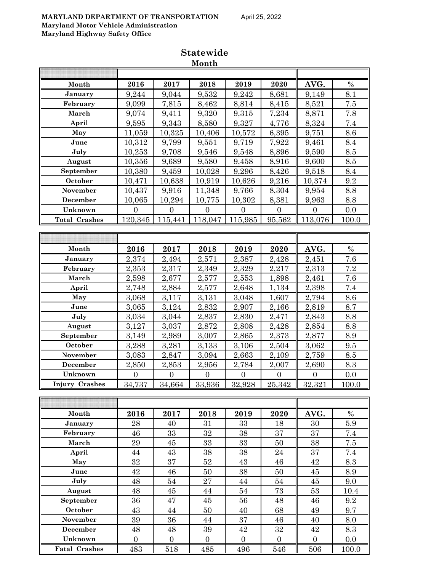## **MARYLAND DEPARTMENT OF TRANSPORTATION** April 25, 2022 **Maryland Motor Vehicle Administration**

**Maryland Highway Safety Office**

|                       |                |                | Month          |                |                  |                |            |
|-----------------------|----------------|----------------|----------------|----------------|------------------|----------------|------------|
|                       |                |                |                |                |                  |                |            |
| Month                 | 2016           | 2017           | 2018           | 2019           | 2020             | AVG.           | $\%$       |
| January               | 9,244          | 9,044          | 9,532          | 9,242          | 8,681            | 9,149          | 8.1        |
| February              | 9,099          | 7,815          | 8,462          | 8,814          | 8,415            | 8,521          | $7.5\,$    |
| March                 | 9,074          | 9,411          | 9,320          | 9,315          | 7,234            | 8,871          | 7.8        |
| April                 | 9,595          | 9,343          | 8,580          | 9,327          | 4,776            | 8,324          | 7.4        |
| May                   | 11,059         | 10,325         | 10,406         | 10,572         | 6,395            | 9,751          | 8.6        |
| June                  | 10,312         | 9,799          | 9,551          | 9,719          | 7,922            | 9,461          | 8.4        |
| July                  | 10,253         | 9,708          | 9,546          | 9,548          | 8,896            | 9,590          | 8.5        |
| August                | 10,356         | 9,689          | 9,580          | 9,458          | 8,916            | 9,600          | $8.5\,$    |
| September             | 10,380         | 9,459          | 10,028         | 9,296          | 8,426            | 9,518          | 8.4        |
| October               | 10,471         | 10,638         | 10,919         | 10,626         | 9,216            | 10,374         | 9.2        |
| November              | 10,437         | 9,916          | 11,348         | 9,766          | 8,304            | 9,954          | 8.8        |
| December              | 10,065         | 10,294         | 10,775         | 10,302         | 8,381            | 9,963          | 8.8        |
| Unknown               | $\overline{0}$ | $\overline{0}$ | $\overline{0}$ | $\overline{0}$ | $\boldsymbol{0}$ | $\overline{0}$ | 0.0        |
| <b>Total Crashes</b>  | 120,345        | 115,441        | 118,047        | 115,985        | 95,562           | 113,076        | 100.0      |
|                       |                |                |                |                |                  |                |            |
|                       |                |                |                |                |                  |                |            |
| Month                 | 2016           | 2017           | 2018           | 2019           | 2020             | AVG.           | $\%$       |
| January               | 2,374          | 2,494          | 2,571          | 2,387          | 2,428            | 2,451          | 7.6        |
| February              | 2,353          | 2,317          | 2,349          | 2,329          | 2,217            | 2,313          | 7.2        |
| March                 | 2,598          | 2,677          | 2,577          | 2,553          | 1,898            | 2,461          | 7.6        |
| April                 | 2,748          | 2,884          | 2,577          | 2,648          | 1,134            | 2,398          | 7.4        |
| May                   | 3,068          | 3,117          | 3,131          | 3,048          | 1,607            | 2,794          | 8.6        |
| June                  | 3,065          | 3,124          | 2,832          | 2,907          | 2,166            | 2,819          | 8.7        |
| July                  | 3,034          | 3,044          | 2,837          | 2,830          | 2,471            | 2,843          | 8.8        |
| August                | 3,127          | 3,037          | 2,872          | 2,808          | 2,428            | 2,854          | 8.8        |
| September             | 3,149          | 2,989          | 3,007          | 2,865          | 2,373            | 2,877          | 8.9        |
| October               | 3,288          | 3,281          | 3,133          | 3,106          | 2,504            | 3,062          | 9.5        |
| November              | 3,083          | 2,847          | 3,094          | 2,663          | 2,109            | 2,759          | 8.5        |
| December              | 2,850          | 2,853          | 2,956          | 2,784          | 2,007            | 2,690          | 8.3        |
| Unknown               | $\overline{0}$ | $\overline{0}$ | $\overline{0}$ | $\overline{0}$ | $\overline{0}$   | $\overline{0}$ | 0.0        |
| <b>Injury Crashes</b> | 34,737         | 34,664         | 33,936         | 32,928         | 25,342           | 32,321         | 100.0      |
|                       |                |                |                |                |                  |                |            |
|                       |                |                |                |                |                  |                |            |
| Month                 | 2016           | 2017           | 2018           | 2019           | 2020             | AVG.           | $\%$       |
| January               | 28             | 40             | 31             | 33             | 18               | 30             | 5.9        |
| February              | 46             | 33             | 32             | 38             | 37               | 37             | 7.4        |
| March                 | 29             | 45             | 33             | 33             | $50\,$           | 38             | $7.5\,$    |
| April                 | 44             | $\rm 43$       | 38             | 38             | 24               | 37             | 7.4        |
| May                   | 32             | 37             | $\sqrt{52}$    | 43             | 46               | 42             | 8.3        |
| June                  | 42             | 46             | 50             | 38             | 50               | 45             | 8.9        |
| July                  | 48             | 54             | 27             | $44\,$         | $54\,$           | 45             | 9.0        |
| August                | 48             | 45             | 44             | 54             | 73               | 53             | 10.4       |
| September             | 36             | $47\,$         | 45             | $56\,$         | 48               | 46             | $\,9.2$    |
| October<br>November   | 43<br>39       | 44<br>36       | 50<br>44       | 40<br>37       | 68<br>46         | 49<br>40       | 9.7<br>8.0 |
| December              | 48             | 48             | 39             | 42             | 32               | 42             | 8.3        |
| Unknown               | $\overline{0}$ | $\overline{0}$ | $\overline{0}$ | $\overline{0}$ | $\overline{0}$   | $\overline{0}$ | 0.0        |
| <b>Fatal Crashes</b>  | 483            | 518            | 485            | 496            | 546              | 506            | 100.0      |
|                       |                |                |                |                |                  |                |            |

**Statewide Month**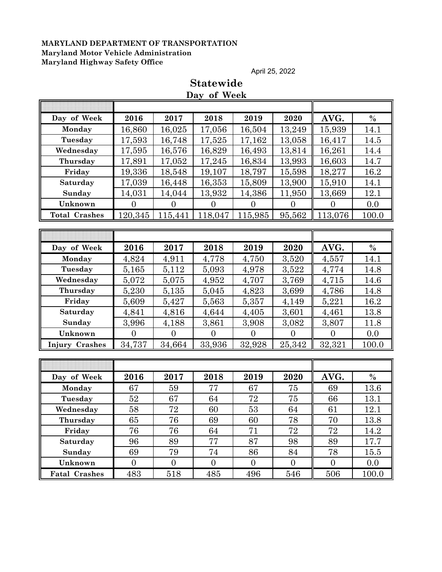April 25, 2022

|                      |                |                  | Day of Week      |                |                |                |         |
|----------------------|----------------|------------------|------------------|----------------|----------------|----------------|---------|
|                      |                |                  |                  |                |                |                |         |
| Day of Week          | 2016           | 2017             | 2018             | 2019           | 2020           | AVG.           | $\%$    |
| Monday               | 16,860         | 16,025           | 17,056           | 16,504         | 13,249         | 15,939         | 14.1    |
| Tuesday              | 17,593         | 16,748           | 17,525           | 17,162         | 13,058         | 16,417         | 14.5    |
| Wednesday            | 17,595         | 16,576           | 16,829           | 16,493         | 13,814         | 16,261         | 14.4    |
| Thursday             | 17,891         | 17,052           | 17,245           | 16,834         | 13,993         | 16,603         | 14.7    |
| Friday               | 19,336         | 18,548           | 19,107           | 18,797         | 15,598         | 18,277         | 16.2    |
| Saturday             | 17,039         | 16,448           | 16,353           | 15,809         | 13,900         | 15,910         | 14.1    |
| Sunday               | 14,031         | 14,044           | 13,932           | 14,386         | 11,950         | 13,669         | 12.1    |
| Unknown              | $\overline{0}$ | $\boldsymbol{0}$ | $\overline{0}$   | $\overline{0}$ | $\overline{0}$ | $\overline{0}$ | 0.0     |
| <b>Total Crashes</b> | 120,345        | 115,441          | 118,047          | 115,985        | 95,562         | 113,076        | 100.0   |
|                      |                |                  |                  |                |                |                |         |
|                      |                |                  |                  |                |                |                |         |
| Day of Week          | 2016           | 2017             | 2018             | 2019           | 2020           | AVG.           | $\%$    |
| Monday               | 4,824          | 4,911            | 4,778            | 4,750          | 3,520          | 4,557          | 14.1    |
| Tuesday              | 5,165          | 5,112            | 5,093            | 4,978          | 3,522          | 4,774          | 14.8    |
| Wednesday            | 5,072          | 5,075            | 4,952            | 4,707          | 3,769          | 4,715          | 14.6    |
| Thursday             | 5,230          | 5,135            | 5,045            | 4,823          | 3,699          | 4,786          | 14.8    |
| Friday               | 5,609          | 5,427            | 5,563            | 5,357          | 4,149          | 5,221          | 16.2    |
| Saturday             | 4,841          | 4,816            | 4,644            | 4,405          | 3,601          | 4,461          | 13.8    |
| Sunday               | 3,996          | 4,188            | 3,861            | 3,908          | 3,082          | 3,807          | 11.8    |
| Unknown              | $\overline{0}$ | $\overline{0}$   | $\overline{0}$   | $\overline{0}$ | $\overline{0}$ | $\overline{0}$ | 0.0     |
| Injury Crashes       | 34,737         | 34,664           | 33,936           | 32,928         | 25,342         | 32,321         | 100.0   |
|                      |                |                  |                  |                |                |                |         |
|                      |                |                  |                  |                |                |                |         |
| Day of Week          | 2016           | 2017             | 2018             | 2019           | 2020           | AVG.           | $\%$    |
| Monday               | 67             | 59               | 77               | 67             | 75             | 69             | 13.6    |
| Tuesday              | 52             | 67               | 64               | 72             | 75             | 66             | 13.1    |
| Wednesday            | 58             | 72               | 60               | 53             | 64             | 61             | 12.1    |
| Thursday             | 65             | 76               | 69               | 60             | 78             | 70             | 13.8    |
| Friday               | 76             | 76               | 64               | 71             | 72             | 72             | 14.2    |
| Saturday             | 96             | 89               | 77               | 87             | 98             | 89             | 17.7    |
| Sunday               | 69             | 79               | 74               | 86             | 84             | 78             | 15.5    |
| Unknown              | $\overline{0}$ | $\overline{0}$   | $\boldsymbol{0}$ | $\overline{0}$ | $\overline{0}$ | $\overline{0}$ | $0.0\,$ |
| <b>Fatal Crashes</b> | 483            | 518              | 485              | 496            | 546            | 506            | 100.0   |

# **Statewide**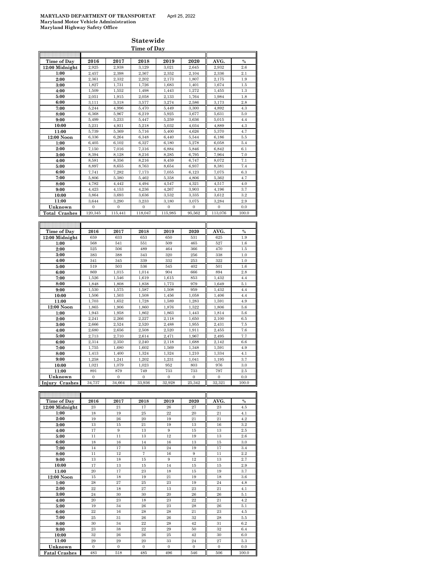#### **Statewide Time of Day**

| Time of Day           | 2016         | 2017             | 2018                  | 2019             | 2020             | AVG.                  | $\%$    |
|-----------------------|--------------|------------------|-----------------------|------------------|------------------|-----------------------|---------|
| 12:00 Midnight        | 2,925        | 2,938            | 3,129                 | 3,021            | 2,645            | 2,932                 | 2.6     |
| 1:00                  | 2,457        | 2,398            | 2,367                 | 2,352            | 2,104            | 2,336                 | 2.1     |
| 2:00                  | 2,361        | 2,332            | 2,202                 | 2,173            | 1,807            | 2,175                 | 1.9     |
| 3:00                  | 1,827        | 1,731            | 1,726                 | 1,683            | 1,401            | 1,674                 | 1.5     |
| 4:00                  | 1,509        | 1,552            | 1.498                 | 1,443            | 1,272            | 1,455                 | 1.3     |
| 5:00                  | 2,051        | 1,915            | 2,058                 | 2.133            | 1,764            | 1,984                 | 1.8     |
| 6:00                  | 3,111        | 3,318            | 3,577                 | 3,274            | 2,586            | 3,173                 | 2.8     |
| 7:00                  | 5,244        | 4,996            | 5,470                 | 5,449            | 3,300            | 4,892                 | $4.3\,$ |
|                       |              |                  |                       |                  |                  |                       |         |
| 8:00                  | 6,368        | 5,967            | 6,219                 | 5,925            | 3,677            | 5,631                 | 5.0     |
| 9:00                  | 5,499        | 5,233            | 5,447                 | 5,259            | 3,636            | 5,015                 | 4.4     |
| 10:00                 | 5,231        | 4,931            | 5,218                 | 5,032            | 4,034            | 4,889                 | 4.3     |
| 11:00                 | 5,739        | 5,369            | 5,716                 | 5,400            | 4,626            | 5,370                 | 4.7     |
| 12:00 Noon            | 6,336        | 6,264            | 6,348                 | 6,440            | 5,544            | 6,186                 | 5.5     |
| 1:00                  | 6,405        | 6,102            | 6.327                 | 6,180            | 5,278            | 6,058                 | 5.4     |
| 2:00                  | 7,150        | 7,016            | 7,316                 | 6,884            | 5,846            | 6,842                 | 6.1     |
| 3:00                  | 8,394        | 8,128            | 8,216                 | 8,285            | 6,795            | 7,964                 | 7.0     |
| 4:00                  | 8,581        | 8,356            | 8,216                 | 8,459            | 6,747            | 8,072                 | 7.1     |
|                       |              |                  |                       |                  |                  |                       | 7.4     |
| 5:00                  | 8,897        | 8,655            | 8,763                 | 8,654            | 6,937            | 8,381                 |         |
| 6:00                  | 7,741        | 7,282            | 7,173                 | 7,055            | 6,123            | 7,075                 | 6.3     |
| 7:00                  | 5,806        | 5,380            | 5,462                 | 5,358            | 4,806            | 5,362                 | 4.7     |
| 8:00                  | 4,782        | 4,442            | 4,494                 | 4,547            | 4,321            | 4,517                 | 4.0     |
| 9:00                  | 4,423        | 4,153            | 4,236                 | 4,267            | 3,903            | 4,196                 | 3.7     |
| 10:00                 | 3,864        | 3,693            | 3,636                 | 3.532            | 3,335            | 3,612                 | 3.2     |
| 11:00                 | 3.644        | 3,290            | 3,233                 | 3,180            | 3,075            | 3,284                 | 2.9     |
| Unknown               | $\mathbf{0}$ | $\overline{0}$   | $\overline{0}$        | $\overline{0}$   | $\overline{0}$   | $\mathbf{0}$          | 0.0     |
| <b>Total Crashes</b>  | 120,345      | 115.441          | 118,047               | 115,985          | 95,562           | 113,076               | 100.0   |
|                       |              |                  |                       |                  |                  |                       |         |
|                       |              |                  |                       |                  |                  |                       |         |
|                       |              |                  |                       |                  |                  |                       |         |
| Time of Day           | 2016         | 2017             | 2018                  | 2019             | 2020             | AVG.                  | $\%$    |
| 12:00 Midnight        | 659          | 633              | 653                   | 650              | 531              | 625                   | 1.9     |
| 1:00                  | 568          | 541              | 551                   | 509              | 465              | 527                   | 1.6     |
| 2:00                  | 525          | 506              | 489                   | 464              | 366              | 470                   | $1.5\,$ |
| 3:00                  | 383          | 388              | 343                   | 320              | 256              | 338                   | 1.0     |
| 4:00                  | 341          | 345              | 339                   | 332              | 253              | 322                   | 1.0     |
| 5:00                  | 519          | 503              | 536                   | 545              | 402              | 501                   | 1.6     |
| 6:00                  | 869          | 1,015            | 1,014                 | 904              | 666              |                       | 2.8     |
| 7:00                  |              |                  |                       |                  |                  |                       |         |
|                       |              |                  |                       |                  |                  | 894                   |         |
|                       | 1,526        | 1,546            | 1,619                 | 1,615            | 853              | 1,432                 | 4.4     |
| 8:00                  | 1,848        | 1,808            | 1,838                 | 1,773            | 979              | 1,649                 | 5.1     |
| 9:00                  | 1,530        | 1,575            | 1,587                 | 1,508            | 959              | 1,432                 | 4.4     |
| 10:00                 | 1,506        | 1,503            | 1,508                 | 1,456            | 1,058            | 1,406                 | 4.4     |
| 11:00                 | 1,703        | 1,652            | 1,728                 | 1,589            | 1,283            | 1,591                 | 4.9     |
| 12:00 Noon            | 1,865        | 1,906            | 1,860                 | 1,876            | 1,522            | 1,806                 | $5.6\,$ |
| 1:00                  | 1,943        | 1,958            | 1,862                 | 1,863            | 1,443            | 1,814                 | 5.6     |
| 2:00                  | 2,241        | 2,266            | 2,227                 | 2,118            | 1,650            | 2,100                 | 6.5     |
| 3:00                  | 2,666        | 2,524            | 2,520                 | 2,488            | 1,955            | 2,431                 | 7.5     |
| 4:00                  | 2,680        | 2,656            | 2,508                 | 2,520            | 1,911            | 2,455                 | 7.6     |
|                       |              |                  |                       |                  |                  |                       |         |
| 5:00                  | 2,713        | 2,710            | 2,614                 | 2,471            | 1,967            | 2,495                 | 7.7     |
| 6:00                  | 2,314        | 2,350            | 2,240                 | 2,118            | 1.688            | 2,142                 | 6.6     |
| 7:00                  | 1,755        | 1,680            | 1,602                 | 1,569            | 1,348            | 1,591                 | 4.9     |
| 8:00                  | 1,413        | 1,400            | 1,324                 | 1,324            | 1,210            | 1,334                 | 4.1     |
| 9:00                  | 1,258        | 1,241            | 1,202                 | 1,231            | 1,041            | 1,195                 | 3.7     |
| 10:00                 | 1,021        | 1,079            | 1,023                 | 952              | 803              | 976                   | 3.0     |
| 11:00                 | 891          | 879              | 749                   | 733              | 733              | 797                   | 2.5     |
| Unknown               | $\mathbf{0}$ | $\boldsymbol{0}$ | $\boldsymbol{0}$      | $\boldsymbol{0}$ | $\boldsymbol{0}$ | $\boldsymbol{0}$      | 0.0     |
|                       | 34,737       | 34,664           | 33,936                | 32,928           | 25,342           | 32,321                | 100.0   |
| <b>Injury Crashes</b> |              |                  |                       |                  |                  |                       |         |
|                       |              |                  |                       |                  |                  |                       |         |
|                       |              |                  |                       |                  |                  |                       |         |
| Time of Day           | 2016         | 2017             | 2018                  | 2019             | 2020             | AVG.                  | $\%$    |
| 12:00 Midnight        | $\bf 23$     | 21               | 17                    | ${\bf 26}$       | 27               | 23                    | $4.5\,$ |
| 1:00                  | $18\,$       | 19               | 25                    | $\bf 22$         | 20               | 21                    | 4.1     |
| 2:00                  | 19           | 26               | $20\,$                | 19               | 21               | 21                    | 4.2     |
| 3:00                  | 13           | 15               | 21                    | 19               | 13               | $16\,$                | $3.2\,$ |
| 4:00<br>5.00          | $17\,$       | $\,9$            | 13<br>$\overline{13}$ | $\,9$<br>19      | $15\,$           | 13<br>$\overline{13}$ | $2.5\,$ |

| 2:00                 | 19           | 26           | 20             | 19           | 21           | 21           | 4.2     |
|----------------------|--------------|--------------|----------------|--------------|--------------|--------------|---------|
| 3:00                 | 13           | 15           | 21             | 19           | 13           | 16           | $3.2\,$ |
| 4:00                 | 17           | 9            | 13             | 9            | 15           | 13           | $2.5\,$ |
| 5:00                 | 11           | 11           | 13             | 12           | 19           | 13           | $2.6\,$ |
| 6:00                 | 18           | 16           | 14             | 16           | 13           | 15           | 3.0     |
| 7:00                 | 14           | 17           | 13             | 24           | 19           | 17           | 3.4     |
| 8:00                 | 11           | 12           | $\overline{7}$ | 16           | 9            | 11           | 2.2     |
| 9:00                 | 13           | 18           | 15             | 9            | 12           | 13           | 2.7     |
| 10:00                | 17           | 13           | 15             | 14           | 15           | 15           | $2.9\,$ |
| 11:00                | 20           | 17           | 23             | 18           | 15           | 19           | 3.7     |
| 12:00 Noon           | 15           | 18           | 19             | 21           | 19           | 18           | $3.6\,$ |
| 1:00                 | 28           | 27           | 25             | 23           | 19           | 24           | 4.8     |
| 2:00                 | 22           | 18           | 27             | 13           | 23           | 21           | 4.1     |
| 3:00                 | 24           | 30           | 30             | 20           | 26           | 26           | 5.1     |
| 4:00                 | 20           | 23           | 18             | 23           | $22\,$       | 21           | 4.2     |
| 5:00                 | 19           | 34           | 26             | 23           | 28           | 26           | 5.1     |
| 6:00                 | $^{22}$      | 16           | 28             | 28           | 21           | 23           | 4.5     |
| 7:00                 | 25           | 31           | 26             | 26           | 32           | 28           | 5.5     |
| 8:00                 | 30           | 34           | 22             | 28           | 42           | 31           | 6.2     |
| 9:00                 | 23           | 38           | 22             | 29           | 50           | $32\,$       | 6.4     |
| 10:00                | 32           | 26           | 26             | 25           | 42           | 30           | 6.0     |
| 11:00                | 29           | 29           | 20             | 33           | 24           | 27           | 5.3     |
| Unknown              | $\mathbf{0}$ | $\mathbf{0}$ | $\mathbf{0}$   | $\mathbf{0}$ | $\mathbf{0}$ | $\mathbf{0}$ | 0.0     |
| <b>Fatal Crashes</b> | 483          | 518          | 485            | 496          | 546          | 506          | 100.0   |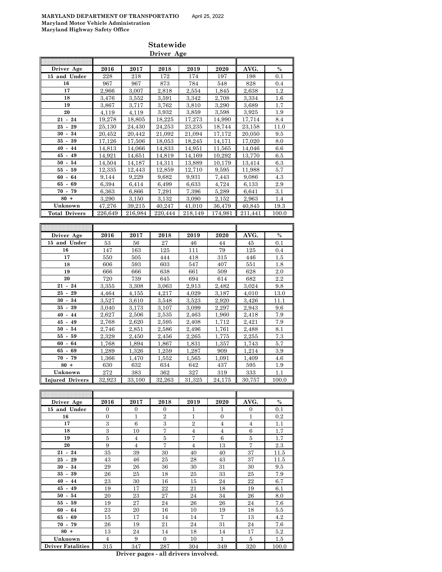|                          |                  |                  | Driver Age       |                  |                  |                  |                |
|--------------------------|------------------|------------------|------------------|------------------|------------------|------------------|----------------|
|                          |                  |                  |                  |                  |                  |                  |                |
| Driver Age               | 2016             | 2017             | 2018             | 2019             | 2020             | AVG.             | $\%$           |
| 15 and Under             | 228              | 218              | 172              | 174              | 197              | 198              | 0.1            |
| 16                       | 967              | 967              | 873              | 784              | 548              | 828              | 0.4            |
| 17                       | 2,966            | 3,007            | 2,818            | 2,554            | 1,845            | 2,638            | $1.2\,$        |
| 18                       | 3,476            | 3.552            | 3,591            | 3.342            | 2,708            | 3,334            | $1.6\,$        |
| 19                       | 3,867            | 3,717            | 3,762            | 3,810            | 3,290            | 3,689            | 1.7            |
| 20                       | 4,119            | 4,119            | 3,932            | 3,859            | 3,598            | 3,925            | $1.9\,$        |
| $21 - 24$                | 19,278           | 18,805           | 18,225           | 17,273           | 14,990           | 17,714           | 8.4            |
| $25 - 29$<br>$30 - 34$   | 25,130           | 24,430           | 24,253           | 23.235           | 18,744           | 23,158           | 11.0           |
| $35 - 39$                | 20,452<br>17,126 | 20,442<br>17,506 | 21,092           | 21,094<br>18,245 | 17,172<br>14,171 | 20,050<br>17,020 | 9.5            |
| $40 - 44$                | 14,813           | 14,066           | 18,053<br>14,833 | 14,951           | 11,565           | 14,046           | 8.0<br>$6.6\,$ |
| $45 - 49$                | 14,921           | 14,651           | 14,819           | 14,169           | 10,292           | 13,770           | 6.5            |
| $50 - 54$                | 14,504           | 14,187           | 14,311           | 13,889           | 10,179           | 13,414           | 6.3            |
| $55 - 59$                | 12,335           | 12,443           | 12,859           | 12,710           | 9,595            | 11,988           | 5.7            |
| $60 - 64$                | 9,144            | 9,229            | 9,682            | 9,931            | 7,443            | 9,086            | 4.3            |
| $65 - 69$                | 6,394            | 6,414            | 6,499            | 6,633            | 4,724            | 6,133            | 2.9            |
| $70 - 79$                | 6,363            | 6,866            | 7,291            | 7,396            | 5,289            | 6,641            | 3.1            |
| $80 +$                   | 3,290            | 3,150            | 3,132            | 3,090            | 2,152            | 2,963            | 1.4            |
| Unknown                  | 47,276           | 39,215           | 40,247           | 41,010           | 36,479           | 40,845           | 19.3           |
| <b>Total Drivers</b>     | 226.649          | 216,984          | 220,444          | 218,149          | 174.981          | 211,441          | 100.0          |
|                          |                  |                  |                  |                  |                  |                  |                |
|                          |                  |                  |                  |                  |                  |                  |                |
| Driver Age               | 2016             | 2017             | 2018             | 2019             | 2020             | AVG.             | $\%$           |
| 15 and Under             | 53               | 56               | 27               | 46               | 44               | 45               | 0.1            |
| 16                       | 147              | 163              | 125              | 111              | 79               | 125              | 0.4            |
| 17                       | 550              | 505              | 444              | 418              | 315              | 446              | $1.5\,$        |
| 18                       | 606              | 593              | 603              | 547              | 407              | 551              | 1.8            |
| 19                       | 666              | 666              | 638              | 661              | 509              | 628              | $2.0\,$        |
| 20                       | 720              | 739              | 645              | 694              | 614              | 682              | 2.2            |
| $21 - 24$                | 3,355            | 3,308            | 3,063            | 2,913            | 2,482            | 3,024            | 9.8            |
| $25 - 29$                | 4,464            | 4,155            | 4,217            | 4,029            | 3,187            | 4,010            | 13.0           |
| $30 - 34$                | 3,527            | 3,610            | 3,548            | 3,523            | 2,920            | 3,426            | 11.1           |
| $35 - 39$                | 3,040            | 3,173            | 3,107            | 3,099            | 2,297            | 2,943            | 9.6            |
| $40 - 44$                | 2,627            | 2,506            | 2,535            | 2,463            | 1,960            | 2,418            | 7.9            |
| $45 - 49$                | 2,768            | 2,620            | 2,595            | 2,408            | 1,712            | 2,421            | 7.9            |
| $50 - 54$                | 2,746            | 2,851            | 2,586            | 2,496            | 1,761            | 2,488            | 8.1            |
| $55 - 59$                | 2,329            | 2,450            | 2,456            | 2,265            | 1,775            | 2,255            | 7.3            |
| $60 - 64$                | 1,768            | 1,894            | 1,867            | 1.831            | 1,357            | 1,743            | 5.7            |
| $65 - 69$<br>$70 - 79$   | 1,289            | 1,326            | 1,259            | 1,287            | 909              | 1,214            | 3.9            |
| $80 +$                   | 1,366            | 1,470            | 1,552            | 1,565            | 1,091            | 1,409            | 4.6            |
| Unknown                  | 630<br>$\bf 272$ | 632<br>$383\,$   | 634<br>362       | 642<br>327       | 437<br>319       | 595<br>333       | 1.9            |
|                          | 32,923           | 33.100           | 32,263           | 31.325           | 24,175           | 30.757           | 1.1<br>100.0   |
| <b>Injured Drivers</b>   |                  |                  |                  |                  |                  |                  |                |
|                          |                  |                  |                  |                  |                  |                  |                |
| Driver Age               | 2016             | 2017             | 2018             | 2019             | 2020             | AVG.             | $\%$           |
| 15 and Under             | 0                | 0                | 0                | 1                | 1                | 0                | 0.1            |
| 16                       | 0                | 1                | 2                | 1                | 0                | 1                | $0.2\,$        |
| 17                       | $\,3$            | 6                | $\,3$            | 2                | 4                | 4                | 1.1            |
| 18                       | 3                | 10               | $\overline{7}$   | $\overline{4}$   | $\overline{4}$   | 6                | 1.7            |
| 19                       | 5                | 4                | 5                | 7                | 6                | 5                | 1.7            |
| 20                       | 9                | 4                | 7                | 4                | 13               | 7                | 2.3            |
| $21 - 24$                | 35               | 39               | 30               | 40               | 40               | 37               | 11.5           |
| $25 - 29$                | 43               | 46               | 25               | 28               | 43               | 37               | 11.5           |
| $30 - 34$                | 29               | 26               | 36               | 30               | 31               | 30               | 9.5            |
| $35 - 39$                | 26               | 25               | 18               | 25               | 33               | 25               | 7.9            |
| $40 - 44$                | 23               | 30               | 16               | 15               | 24               | 22               | 6.7            |
| $45 - 49$                | 19               | 17               | 22               | 21               | 18               | 19               | $6.1\,$        |
| $50 - 54$                | 20               | 23               | 27               | 24               | 34               | 26               | 8.0            |
| $55 - 59$                | 19               | 27               | 24               | 26               | 26               | 24               | 7.6            |
| $60 - 64$                | 23               | 20               | 16               | 10               | 19               | 18               | 5.5            |
| $65 - 69$                | 15               | 17               | 14               | 14               | 7                | 13               | 4.2            |
| $70 - 79$                | 26               | 19               | 21               | 24               | 31               | $\,24$           | 7.6            |
| $80 +$                   | 13               | 24               | 14               | 18               | 14               | 17               | $5.2\,$        |
| Unknown                  | 4                | 9                | $\mathbf{0}$     | 10               | 1                | 5                | $1.5\,$        |
| <b>Driver Fatalities</b> | 315              | 347              | 287              | 304              | 349              | 320              | 100.0          |

**Statewide**

**Driver pages - all drivers involved.**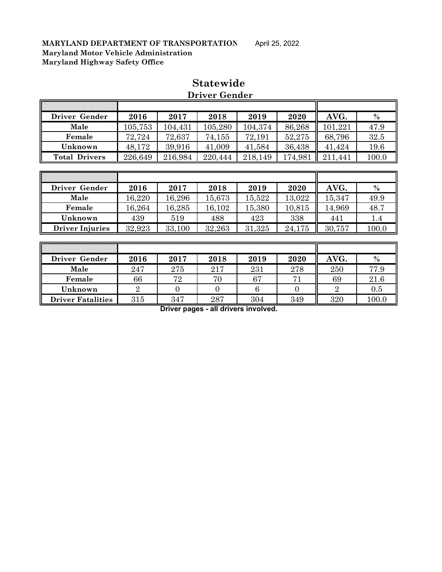| Driver Gender        | 2016    | 2017    | 2018    | 2019    | 2020    | AVG.         | $\%$  |
|----------------------|---------|---------|---------|---------|---------|--------------|-------|
| Male                 | 105,753 | 104,431 | 105,280 | 104,374 | 86,268  | 101,221      | 47.9  |
| Female               | 72,724  | 72,637  | 74,155  | 72,191  | 52,275  | 68,796       | 32.5  |
| Unknown              | 48,172  | 39,916  | 41,009  | 41,584  | 36,438  | 41,424       | 19.6  |
| <b>Total Drivers</b> | 226,649 | 216,984 | 220,444 | 218,149 | 174,981 | 211.<br>.441 | 100.0 |

## **Statewide Driver Gender**

| Driver Gender          | 2016   | 2017   | 2018   | 2019   | 2020   | AVG.   | $\%$  |
|------------------------|--------|--------|--------|--------|--------|--------|-------|
| Male                   | 16,220 | 16,296 | 15,673 | 15,522 | 13,022 | 15,347 | 49.9  |
| Female                 | 16,264 | 16,285 | 16,102 | 15,380 | 10,815 | 14,969 | 48.7  |
| Unknown                | 439    | 519    | 488    | 423    | 338    | 441    |       |
| <b>Driver Injuries</b> | 32,923 | 33,100 | 32,263 | 31,325 | 24,175 | 30,757 | 100.0 |

| Driver Gender            | 2016 | 2017 | 2018 | 2019 | 2020 | AVG. | $\%$  |
|--------------------------|------|------|------|------|------|------|-------|
| Male                     | 247  | 275  | 217  | 231  | 278  | 250  | 77.9  |
| Female                   | 66   | 72   | 70   | 67   |      | 69   | 21.6  |
| Unknown                  | 2    |      |      |      |      |      | 0.5   |
| <b>Driver Fatalities</b> | 315  | 347  | 287  | 304  | 349  | 320  | 100.0 |

**Driver pages - all drivers involved.**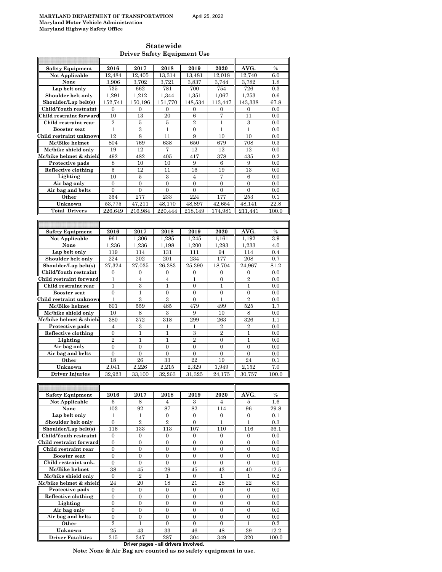| <b>Statewide</b>                   |
|------------------------------------|
| <b>Driver Safety Equipment Use</b> |

| <b>Safety Equipment</b>  | 2016             | 2017             | 2018             | 2019             | 2020             | AVG.             | $\frac{0}{0}$ |
|--------------------------|------------------|------------------|------------------|------------------|------------------|------------------|---------------|
| Not Applicable           | 12,484           | 12.405           | 13,314           | 13,481           | 12,018           | 12,740           | 6.0           |
| None                     |                  |                  |                  |                  |                  |                  |               |
|                          | 3,906            | 3,702            | 3,721            | 3,837            | 3,744            | 3,782            | 1.8           |
| Lap belt only            | 735              | 662              | 781              | 700              | 754              | 726              | 0.3           |
| Shoulder belt only       | 1,291            | 1,212            | 1,344            | 1,351            | 1,067            | 1,253            | 0.6           |
| Shoulder/Lap belt(s)     | 152,741          | 150,196          | 151,770          | 148,534          | 113,447          | 143.338          | 67.8          |
| Child/Youth restraint    | 0                | $\mathbf{0}$     | $\overline{0}$   | $\mathbf{0}$     | $\mathbf{0}$     | $\boldsymbol{0}$ | 0.0           |
| Child restraint forward  | 10               | 13               | 20               | 6                | $\overline{7}$   | 11               | 0.0           |
|                          |                  |                  |                  |                  |                  |                  |               |
| Child restraint rear     | $\overline{2}$   | 5                | 5                | $\overline{2}$   | 1                | 3                | 0.0           |
| <b>Booster seat</b>      | $\mathbf{1}$     | 3                | $\mathbf{1}$     | $\overline{0}$   | $\mathbf{1}$     | $\mathbf{1}$     | 0.0           |
| Child restraint unknow   | 12               | 8                | 11               | 9                | 10               | 10               | 0.0           |
| Mc/Bike helmet           | 804              | 769              | 638              | 650              | 679              | 708              | 0.3           |
| Mc/bike shield only      | 19               | 12               | 7                | 12               | 12               | 12               | 0.0           |
|                          |                  |                  |                  |                  |                  |                  |               |
| Mc/bike helmet & shield  | 492              | 482              | 405              | 417              | 378              | 435              | 0.2           |
| Protective pads          | 8                | 10               | 10               | 9                | 6                | 9                | 0.0           |
| Reflective clothing      | $\overline{5}$   | 12               | 11               | 16               | 19               | 13               | 0.0           |
| Lighting                 | 10               | 5                | 3                | $\overline{4}$   | 7                | 6                | 0.0           |
| Air bag only             | $\mathbf{0}$     | $\mathbf{0}$     | $\overline{0}$   | $\overline{0}$   | $\overline{0}$   | $\overline{0}$   | 0.0           |
|                          |                  |                  |                  |                  |                  |                  |               |
| Air bag and belts        | $\theta$         | $\Omega$         | $\theta$         | $\overline{0}$   | $\overline{0}$   | $\Omega$         | 0.0           |
| Other                    | 354              | $\overline{277}$ | 233              | 224              | 177              | 253              | 0.1           |
| Unknown                  | 53,775           | 47,211           | 48,170           | 48,897           | 42,654           | 48,141           | 22.8          |
| <b>Total Drivers</b>     | 226,649          | 216,984          | 220,444          | 218,149          | 174,981          | 211.441          | 100.0         |
|                          |                  |                  |                  |                  |                  |                  |               |
|                          |                  |                  |                  |                  |                  |                  |               |
|                          |                  |                  |                  |                  |                  |                  |               |
| <b>Safety Equipment</b>  | 2016             | 2017             | 2018             | 2019             | 2020             | AVG.             | $\%$          |
| <b>Not Applicable</b>    | 961              | 1,306            | 1,285            | 1,245            | 1,161            | 1,192            | 3.9           |
| None                     | 1,236            | 1,236            | 1,198            | 1,200            | 1,293            | 1,233            | 4.0           |
|                          |                  |                  |                  |                  |                  |                  |               |
| Lap belt only            | 119              | 114              | 131              | 111              | 94               | 114              | 0.4           |
| Shoulder belt only       | 224              | 202              | 201              | 234              | 177              | 208              | 0.7           |
| Shoulder/Lap belt(s)     | 27,324           | 27,035           | 26,383           | 25,390           | 18,704           | 24.967           | 81.2          |
| Child/Youth restraint    | $\mathbf{0}$     | $\mathbf{0}$     | $\mathbf{0}$     | $\overline{0}$   | $\Omega$         | $\Omega$         | 0.0           |
| Child restraint forward  | 1                | $\overline{4}$   | $\overline{4}$   | $\mathbf{1}$     | $\boldsymbol{0}$ | $\overline{2}$   | 0.0           |
|                          |                  |                  |                  |                  |                  |                  |               |
| Child restraint rear     | 1                | 3                | $\mathbf{1}$     | $\overline{0}$   | $\mathbf{1}$     | 1                | 0.0           |
| <b>Booster</b> seat      | $\mathbf{0}$     | 1                | $\overline{0}$   | $\mathbf{0}$     | $\overline{0}$   | $\overline{0}$   | 0.0           |
| Child restraint unknow   | $\mathbf{1}$     | 3                | 3                | $\boldsymbol{0}$ | $\mathbf{1}$     | $\overline{2}$   | 0.0           |
| Mc/Bike helmet           | 601              | 559              | 485              | 479              | 499              | 525              | 1.7           |
| Mc/bike shield only      | 10               |                  | 3                | 9                |                  | 8                | 0.0           |
|                          |                  | 8                |                  |                  | 10               |                  |               |
| Mc/bike helmet & shield  | 380              | 372              | 318              | 299              | 263              | 326              | 1.1           |
| Protective pads          | $\overline{4}$   | 3                | 1                | 1                | $\overline{2}$   | $\overline{2}$   | 0.0           |
| Reflective clothing      | $\mathbf{0}$     | $\mathbf{1}$     | $\mathbf{1}$     | 3                | $\overline{2}$   | $\mathbf{1}$     | 0.0           |
| Lighting                 | $\overline{2}$   | $\mathbf{1}$     | $\mathbf{1}$     | $\overline{2}$   | $\boldsymbol{0}$ | $\mathbf{1}$     | 0.0           |
| Air bag only             | $\boldsymbol{0}$ | $\boldsymbol{0}$ | $\boldsymbol{0}$ | $\mathbf{0}$     | $\boldsymbol{0}$ | $\mathbf{0}$     | 0.0           |
|                          |                  |                  |                  |                  |                  |                  |               |
| Air bag and belts        | $\overline{0}$   | $\overline{0}$   | $\overline{0}$   | $\overline{0}$   | $\overline{0}$   | $\overline{0}$   | 0.0           |
| Other                    | 18               | 26               | 33               | 22               | 19               | 24               | 0.1           |
| Unknown                  | 2,041            | 2,226            | 2,215            | 2,329            | 1,949            | 2,152            | 7.0           |
| <b>Driver Injuries</b>   | 32.923           | 33.100           | 32,263           | 31,325           | 24.175           | 30,757           | 100.0         |
|                          |                  |                  |                  |                  |                  |                  |               |
|                          |                  |                  |                  |                  |                  |                  |               |
|                          |                  |                  |                  |                  |                  |                  |               |
| <b>Safety Equipment</b>  | 2016             | 2017             | 2018             | 2019             | 2020             | AVG.             | $\%$          |
| Not Applicable           | 6                | 8                | 4                | 3                | 4                | 5                | 1.6           |
| None                     | 103              | 92               | 87               | 82               | 114              | 96               |               |
|                          |                  |                  |                  |                  |                  |                  | 29.8          |
| Lap belt only            | $\mathbf{1}$     | 1                | $\overline{0}$   | $\overline{0}$   | $\overline{0}$   | $\mathbf{0}$     | 0.1           |
| Shoulder belt only       | $\boldsymbol{0}$ | $\overline{2}$   | $\overline{2}$   | $\boldsymbol{0}$ | $\mathbf 1$      | $\mathbf{1}$     | 0.3           |
| Shoulder/Lap belt(s)     | 116              | 133              | 113              | 107              | 110              | 116              | 36.1          |
| Child/Youth restraint    | $\mathbf{0}$     | 0                | $\mathbf{0}$     | 0                | $\boldsymbol{0}$ | $\boldsymbol{0}$ | 0.0           |
| Child restraint forward  | $\boldsymbol{0}$ | $\boldsymbol{0}$ | $\boldsymbol{0}$ | $\boldsymbol{0}$ | $\boldsymbol{0}$ | $\boldsymbol{0}$ | 0.0           |
|                          |                  |                  |                  |                  |                  |                  |               |
| Child restraint rear     | $\boldsymbol{0}$ | $\boldsymbol{0}$ | $\mathbf{0}$     | $\boldsymbol{0}$ | $\boldsymbol{0}$ | $\boldsymbol{0}$ | 0.0           |
| <b>Booster</b> seat      | $\boldsymbol{0}$ | $\boldsymbol{0}$ | $\boldsymbol{0}$ | $\boldsymbol{0}$ | $\boldsymbol{0}$ | $\boldsymbol{0}$ | 0.0           |
| Child restraint unk.     | $\mathbf{0}$     | $\overline{0}$   | $\overline{0}$   | $\mathbf{0}$     | $\overline{0}$   | $\overline{0}$   | 0.0           |
| Mc/Bike helmet           | 38               | 45               | 29               | 45               | 43               | 40               | 12.5          |
| Mc/bike shield only      | $\mathbf{0}$     | $\overline{2}$   | $\mathbf{1}$     | $\overline{0}$   | 1                | $\mathbf{1}$     | 0.2           |
|                          |                  |                  |                  |                  |                  |                  |               |
| Mc/bike helmet & shield  | 24               | 20               | 18               | 21               | 28               | 22               | 6.9           |
| Protective pads          | $\boldsymbol{0}$ | $\mathbf{0}$     | 0                | $\boldsymbol{0}$ | $\boldsymbol{0}$ | $\mathbf{0}$     | 0.0           |
| Reflective clothing      | $\boldsymbol{0}$ | $\mathbf{0}$     | $\overline{0}$   | $\overline{0}$   | $\overline{0}$   | $\overline{0}$   | 0.0           |
| Lighting                 | $\boldsymbol{0}$ | $\boldsymbol{0}$ | $\boldsymbol{0}$ | $\boldsymbol{0}$ | 0                | 0                | 0.0           |
|                          | $\mathbf{0}$     | $\overline{0}$   | $\overline{0}$   | $\overline{0}$   | $\overline{0}$   | $\overline{0}$   |               |
| Air bag only             |                  |                  |                  |                  |                  |                  | 0.0           |
| Air bag and belts        | $\boldsymbol{0}$ | $\boldsymbol{0}$ | $\boldsymbol{0}$ | $\boldsymbol{0}$ | $\boldsymbol{0}$ | $\boldsymbol{0}$ | 0.0           |
| Other                    | $\overline{2}$   | $\mathbf{1}$     | $\mathbf{0}$     | $\overline{0}$   | $\overline{0}$   | $\mathbf{1}$     | 0.2           |
|                          |                  |                  |                  |                  |                  |                  |               |
| Unknown                  | 25               | 43               | 33               | 46               | 48               | 39               | 12.2          |
| <b>Driver Fatalities</b> | 315              | 347              | 287              | 304              | 349              | 320              | 100.0         |

**Driver pages - all drivers involved.**

**Note: None & Air Bag are counted as no safety equipment in use.**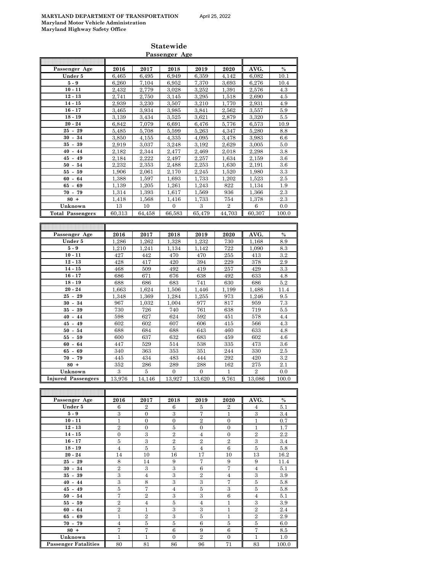**Statewide Passenger Age**

#### **Passenger Age 2016 2017 2018 2019 2020 AVG. % Under 5** 6,465 6,495 6,949 6,359 4,142 6,082 10.1 **5 - 9** 6,260 7,104 6,952 7,370 3,693 6,276 10.4 **10 - 11** 2,432 2,779 3,028 3,252 1,391 2,576 4.3 **12 - 13** 2,741 2,750 3,145 3,295 1,518 2,690 4.5 **14 - 15** 2,939 3,230 3,507 3,210 1,770 2,931 4.9 **16 - 17** 3,465 3,934 3,985 3,841 2,562 3,557 5.9 **18 - 19 19** 3,139 3,434 3,525 3,621 2,879 3,320 5.5 **20 - 24** 6,842 7,079 6,691 6,476 5,776 6,573 10.9 **25 - 29 5,485** 5,708 5,599 5,263 4,347 5,280 8.8 **30 - 34 1** 3,850 4,155 4,335 4,095 3,478 3,983 6.6 **35 - 39** 2,919 3,037 3,248 3,192 2,629 3,005 5.0 **40 - 44** 2,182 2,344 2,477 2,469 2,018 2,298 3.8 **45 - 49** 2,184 2,222 2,497 2,257 1,634 2,159 3.6 **50 - 54** 2,232 2,353 2,488 2,253 1,630 2,191 3.6 **55 - 59** 1,906 | 2,061 | 2,170 | 2,245 | 1,520 || 1,980 | 3.3 **60 - 64** 1,388 1,597 1,693 1,733 1,202 1,523 2.5 **65 - 69** 1,139 1,205 1,261 1,243 822 1,134 1.9 **70 - 79** 1,314 1,393 1,617 1,569 936 1,366 2.3 **80 +** 1,418 1,568 1,416 1,733 754 1,378 2.3 **Unknown** 13 10 0 3 2 6 0.0 **Total Passengers** 60,313 64,458 66,583 65,479 44,703 60,307 100.0 **Passenger Age 2016 2017 2018 2019 2020 AVG. % Under 5** 1,286 1,262 1,328 1,232 730 1,168 8.9 **5 - 9** 1,210 1,241 1,134 1,142 722 1,090 8.3 **10 - 11 427 442 470 470 255 413 3.2 12 - 13 428 417 420 394 229 6** 378 **2.9 14 - 15 1468** 509 492 419 257 429 3.3 **16 - 17** 686 671 676 638 492 633 4.8 **18 - 19** 688 686 683 741 630 686 5.2 **20 - 24** 1,663 1,624 1,506 1,446 1,199 1,488 11.4 **25 - 29** 1,348 1,369 1,284 1,255 973 1,246 9.5 **30 - 34 967** 1,032 1,004 | 977 | 817 | 959 | 7.3 **35 - 39** 730 726 740 761 638 719 5.5

| $20 - 24$                 | 1.663         | 1.624  | 1,506    | 1,446    | 1,199 | 1.488          | 11.4    |
|---------------------------|---------------|--------|----------|----------|-------|----------------|---------|
| $25 - 29$                 | 1.348         | 1,369  | 1,284    | 1,255    | 973   | 1,246          | 9.5     |
| $30 - 34$                 | 967           | 1,032  | 1,004    | 977      | 817   | 959            | 7.3     |
| $35 - 39$                 | 730           | 726    | 740      | 761      | 638   | 719            | 5.5     |
| $40 - 44$                 | 598           | 627    | 624      | 592      | 451   | 578            | 4.4     |
| $45 - 49$                 | 602           | 602    | 607      | 606      | 415   | 566            | 4.3     |
| $50 - 54$                 | 688           | 684    | 688      | 643      | 460   | 633            | 4.8     |
| $55 - 59$                 | 600           | 637    | 632      | 683      | 459   | 602            | 4.6     |
| $60 - 64$                 | 447           | 529    | 514      | 538      | 335   | 473            | 3.6     |
| $65 - 69$                 | 340           | 363    | 353      | 351      | 244   | 330            | 2.5     |
| $70 - 79$                 | 445           | 434    | 483      | 444      | 292   | 420            | $3.2\,$ |
| $80 +$                    | 352           | 286    | 289      | 288      | 162   | 275            | 2.1     |
| Unknown                   | $\mathcal{S}$ | 5      | $\Omega$ | $\Omega$ |       | $\overline{2}$ | 0.0     |
| <b>Injured Passengers</b> | 13,976        | 14,146 | 13,927   | 13,620   | 9,761 | 13,086         | 100.0   |
|                           |               |        |          |          |       |                |         |

L

| Passenger Age               | 2016           | 2017           | 2018           | 2019                    | 2020           | AVG.           | $\%$  |
|-----------------------------|----------------|----------------|----------------|-------------------------|----------------|----------------|-------|
| Under 5                     | 6              | $\overline{2}$ | 6              | 5                       | $\overline{2}$ | 4              | 5.1   |
| $5-9$                       | 3              | $\Omega$       | $\mathbf{a}$   | 7                       | $\mathbf{1}$   | 3              | 3.4   |
| $10 - 11$                   | 1              | $\overline{0}$ | $\Omega$       | $\overline{2}$          | $\Omega$       | 1              | 0.7   |
| $12 - 13$                   | $\overline{2}$ | $\Omega$       | $\overline{5}$ | $\Omega$                | $\Omega$       | 1              | 1.7   |
| $14 - 15$                   | $\mathbf{0}$   | 3              | $\overline{2}$ | $\overline{4}$          | $\mathbf{0}$   | $\overline{2}$ | 2.2   |
| $16 - 17$                   | $\overline{5}$ | 3              | $\overline{2}$ | $\overline{2}$          | $\overline{2}$ | 3              | 3.4   |
| $18 - 19$                   | $\overline{4}$ | $\overline{5}$ | $\overline{5}$ | $\overline{4}$          | 6              | $\overline{5}$ | 5.8   |
| $20 - 24$                   | 14             | 10             | 16             | 17                      | 10             | 13             | 16.2  |
| $25 - 29$                   | 8              | 14             | 9              | 7                       | 9              | 9              | 11.4  |
| $30 - 34$                   | $\overline{2}$ | $\mathbf{3}$   | $\mathbf{3}$   | 6                       | 7              | $\overline{4}$ | 5.1   |
| $35 - 39$                   | 3              | $\overline{4}$ | 3              | $\overline{2}$          | $\overline{4}$ | 3              | 3.9   |
| $40 - 44$                   | 3              | 8              | 3              | 3                       | 7              | $\overline{5}$ | 5.8   |
| $45 - 49$                   | 5              | 7              | $\overline{4}$ | 5                       | 3              | 5              | 5.8   |
| $50 - 54$                   | 7              | $\overline{2}$ | 3              | 3                       | 6              | $\overline{4}$ | 5.1   |
| $55 - 59$                   | $\overline{2}$ | $\overline{4}$ | 5              | $\overline{4}$          | 1              | 3              | 3.9   |
| $60 - 64$                   | $\overline{2}$ | 1              | 3              | $\overline{\mathbf{3}}$ | $\mathbf{1}$   | $\overline{2}$ | 2.4   |
| $65 - 69$                   | 1              | $\overline{2}$ | 3              | 5                       | $\mathbf{1}$   | $\overline{2}$ | 2.9   |
| $70 - 79$                   | $\overline{4}$ | $\overline{5}$ | $\overline{5}$ | 6                       | 5              | $\overline{5}$ | 6.0   |
| $80 +$                      | 7              | 7              | 6              | 9                       | 6              | 7              | 8.5   |
| Unknown                     | 1              | $\mathbf{1}$   | $\mathbf{0}$   | $\overline{2}$          | $\mathbf{0}$   | 1              | 1.0   |
| <b>Passenger Fatalities</b> | 80             | 81             | 86             | 96                      | 71             | 83             | 100.0 |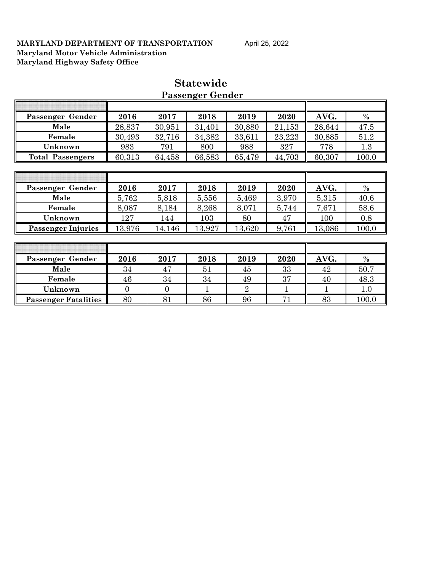| Passenger Gender          | 2016         | 2017           | 2018         | 2019           | 2020         | AVG.         | $\%$  |
|---------------------------|--------------|----------------|--------------|----------------|--------------|--------------|-------|
| Male                      | 28,837       | 30,951         | 31,401       | 30,880         | 21,153       | 28,644       | 47.5  |
| Female                    | 30,493       | 32,716         | 34,382       | 33,611         | 23,223       | 30,885       | 51.2  |
| Unknown                   | 983          | 791            | 800          | 988            | 327          | 778          | 1.3   |
| <b>Total Passengers</b>   | 60,313       | 64,458         | 66,583       | 65,479         | 44,703       | 60,307       | 100.0 |
|                           |              |                |              |                |              |              |       |
|                           |              |                |              |                |              |              |       |
| Passenger Gender          | 2016         | 2017           | 2018         | 2019           | 2020         | AVG.         | $\%$  |
| Male                      | 5,762        | 5,818          | 5,556        | 5,469          | 3,970        | 5,315        | 40.6  |
| Female                    | 8,087        | 8,184          | 8,268        | 8,071          | 5,744        | 7,671        | 58.6  |
| Unknown                   | 127          | 144            | 103          | 80             | 47           | 100          | 0.8   |
| <b>Passenger Injuries</b> | 13,976       | 14,146         | 13,927       | 13,620         | 9,761        | 13,086       | 100.0 |
|                           |              |                |              |                |              |              |       |
|                           |              |                |              |                |              |              |       |
| Passenger Gender          | 2016         | 2017           | 2018         | 2019           | 2020         | AVG.         | $\%$  |
| Male                      | 34           | 47             | 51           | 45             | 33           | 42           | 50.7  |
| Female                    | 46           | 34             | 34           | 49             | 37           | 40           | 48.3  |
| Unknown                   | $\mathbf{0}$ | $\overline{0}$ | $\mathbf{1}$ | $\overline{2}$ | $\mathbf{1}$ | $\mathbf{1}$ | 1.0   |

**Passenger Fatalities** 80 81 86 96 71 83 100.0

## **Statewide Passenger Gender**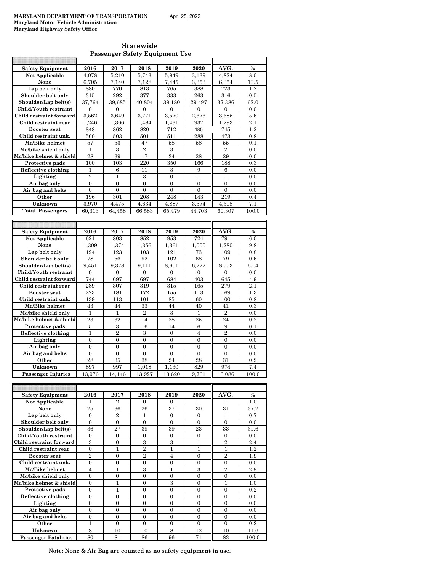h

**Statewide Passenger Safety Equipment Use**

| <b>Safety Equipment</b>               | 2016           | 2017           | 2018           | 2019           | 2020           | AVG.           | $\frac{0}{0}$ |
|---------------------------------------|----------------|----------------|----------------|----------------|----------------|----------------|---------------|
| Not Applicable                        | 4,078          | 5,210          | 5,743          | 5,949          | 3,139          | 4,824          | 8.0           |
| None                                  | 6,705          | 7,140          | 7,128          | 7,445          | 3,353          | 6,354          | 10.5          |
| Lap belt only                         | 880            | 770            | 813            | 765            | 388            | 723            | 1.2           |
| Shoulder belt only                    | 315            | 292            | 377            | 333            | 263            | 316            | 0.5           |
| Shoulder/Lap belt(s)                  | 37.764         | 39.685         | 40.804         | 39.180         | 29.497         | 37.386         | 62.0          |
| Child/Youth restraint                 | $\overline{0}$ | $\overline{0}$ | $\overline{0}$ | $\overline{0}$ | $\mathbf{0}$   | $\overline{0}$ | 0.0           |
| Child restraint forward               | 3.562          | 3,649          | 3.771          | 3.570          | 2.373          | 3.385          | 5.6           |
| Child restraint rear                  | 1,246          | 1,366          | 1,484          | 1,431          | 937            | 1,293          | 2.1           |
| <b>Booster</b> seat                   | 848            | 862            | 820            | 712            | 485            | 745            | 1.2           |
| Child restraint unk.                  | 560            | 503            | 501            | 511            | 288            | 473            | 0.8           |
| Mc/Bike helmet                        | 57             | 53             | 47             | 58             | 58             | 55             | 0.1           |
| Mc/bike shield only                   | 1              | 3              | $\overline{2}$ | 3              | $\mathbf{1}$   | $\overline{2}$ | 0.0           |
| Mc/bike helmet & shield               | 28             | 39             | 17             | 34             | 28             | 29             | 0.0           |
| Protective pads                       | 100            | 103            | 220            | 350            | 166            | 188            | 0.3           |
| Reflective clothing                   | 1              | 6              | 11             | 3              | 9              | 6              | 0.0           |
| Lighting                              | $\overline{2}$ | $\mathbf{1}$   | 3              | $\overline{0}$ | $\mathbf{1}$   | $\mathbf{1}$   | 0.0           |
| Air bag only                          | $\theta$       | $\theta$       | $\theta$       | $\theta$       | $\theta$       | $\theta$       | 0.0           |
| Air bag and belts                     | $\overline{0}$ | $\overline{0}$ | $\overline{0}$ | $\overline{0}$ | $\overline{0}$ | $\overline{0}$ | 0.0           |
| Other                                 | 196            | 301            | 208            | 248            | 143            | 219            | 0.4           |
| Unknown                               | 3,970          | 4,475          | 4,634          | 4,887          | 3,574          | 4,308          | 7.1           |
| <b>Total Passengers</b>               | 60.313         | 64.458         | 66,583         | 65,479         | 44.703         | 60.307         | 100.0         |
|                                       |                |                |                |                |                |                |               |
|                                       |                |                |                |                |                |                |               |
| <b>Safety Equipment</b>               | 2016           | 2017           | 2018           | 2019           | 2020           | AVG.           | $\frac{0}{0}$ |
| Not Applicable                        | 621            | 803            | 852            | 953            | 724            | 791            | 6.0           |
| None                                  | 1.309          | 1.374          | 1.356          | 1,361          | 1.000          | 1.280          | 9.8           |
| Lap belt only                         | 124            | 123            | 103            | 121            | 73             | 109            | 0.8           |
| Shoulder belt only                    | 78             | 56             | 92             | 102            | 68             | 79             | 0.6           |
| Shoulder/Lap belt(s)                  | 9.451          | 9.378          | 9.111          | 8.601          | 6.222          | 8.553          | 65.4          |
| Child/Youth restraint                 | $\overline{0}$ | $\overline{0}$ | $\overline{0}$ | $\overline{0}$ | $\overline{0}$ | $\overline{0}$ | 0.0           |
| Child restraint forward               | 744            | 697            | 697            | 684            | 403            | 645            | 4.9           |
| Child restraint rear                  | 289            | 307            | 319            | 315            | 165            | 279            | 2.1           |
| <b>Booster</b> seat                   |                |                |                |                |                |                |               |
|                                       | 223            | 181            | 172            | 155            | 113            | 169            | 1.3           |
| Child restraint unk.                  | 139            | 113            | 101            | 85             | 60             | 100            | 0.8           |
|                                       | 43             | 44             | 33             | 44             | 40             | 41             | 0.3           |
| Mc/Bike helmet<br>Mc/bike shield only | 1              | 1              | $\overline{2}$ | 3              | 1              | $\overline{2}$ | 0.0           |
| Mc/bike helmet & shield               | 23             | 32             | 14             | 28             | 25             | 24             | 0.2           |
| Protective pads                       | 5              | 3              | 16             | 14             | 6              | 9              | 0.1           |
| Reflective clothing                   | $\mathbf{1}$   | $\overline{2}$ | 3              | $\overline{0}$ | $\overline{4}$ | $\overline{2}$ | 0.0           |
| Lighting                              | $\theta$       | $\overline{0}$ | $\theta$       | $\theta$       | $\theta$       | $\overline{0}$ | 0.0           |
| Air bag only                          | $\overline{0}$ | $\overline{0}$ | $\overline{0}$ | $\overline{0}$ | $\overline{0}$ | $\overline{0}$ | 0.0           |
| Air bag and belts                     | $\theta$       | $\Omega$       | $\overline{0}$ | $\overline{0}$ | $\Omega$       | $\overline{0}$ | 0.0           |
| Other                                 | 28             | 35             | 38             | 24             | 28             | 31             | 0.2           |
| Unknown                               | 897            | 997            | 1,018          | 1,130          | 829            | 974            | 7.4           |
| <b>Passenger Injuries</b>             | 13,976         | 14,146         | 13,927         | 13,620         | 9,761          | 13,086         | 100.0         |
|                                       |                |                |                |                |                |                |               |
|                                       |                |                |                |                |                |                |               |

| <b>Safety Equipment</b>     | 2016           | 2017           | 2018           | 2019     | 2020     | AVG.           | $\frac{0}{0}$ |
|-----------------------------|----------------|----------------|----------------|----------|----------|----------------|---------------|
| Not Applicable              |                | 2              | 0              | 0        |          |                | 1.0           |
| None                        | 25             | 36             | 26             | 37       | 30       | 31             | 37.2          |
| Lap belt only               | $\Omega$       | $\overline{2}$ | 1              | $\Omega$ | $\Omega$ | 1              | 0.7           |
| Shoulder belt only          | $\Omega$       | $\Omega$       | $\Omega$       | $\Omega$ | $\Omega$ | $\Omega$       | 0.0           |
| Shoulder/Lap belt(s)        | 36             | 27             | 39             | 39       | 23       | 33             | 39.6          |
| Child/Youth restraint       | $\Omega$       | $\Omega$       | $\Omega$       | $\Omega$ | $\Omega$ | $\Omega$       | 0.0           |
| Child restraint forward     | 3              | $\Omega$       | 3              | 3        | 1        | $\overline{2}$ | 2.4           |
| Child restraint rear        | $\Omega$       | 1              | $\overline{2}$ | 1        | 1        | 1              | 1.2           |
| <b>Booster seat</b>         | $\overline{2}$ | $\Omega$       | $\overline{2}$ | 4        | $\Omega$ | $\overline{2}$ | 1.9           |
| Child restraint unk.        | $\Omega$       | $\Omega$       | $\Omega$       | $\Omega$ | $\Omega$ | $\Omega$       | 0.0           |
| Mc/Bike helmet              | 4              | 1              | 3              | 1        | 3        | $\overline{2}$ | 2.9           |
| Mc/bike shield only         | $\theta$       | $\Omega$       | $\Omega$       | $\Omega$ | $\Omega$ | $\Omega$       | 0.0           |
| Mc/bike helmet & shield     | $\theta$       | 1              | $\Omega$       | 3        | $\Omega$ | 1              | 1.0           |
| Protective pads             | $\Omega$       | 1              | $\Omega$       | $\Omega$ | $\Omega$ | $\Omega$       | 0.2           |
| Reflective clothing         | $\Omega$       | $\Omega$       | $\Omega$       | $\Omega$ | $\Omega$ | $\Omega$       | 0.0           |
| Lighting                    | $\theta$       | $\Omega$       | $\Omega$       | $\Omega$ | $\Omega$ | $\Omega$       | 0.0           |
| Air bag only                | $\theta$       | $\Omega$       | $\Omega$       | $\Omega$ | $\Omega$ | $\Omega$       | 0.0           |
| Air bag and belts           | $\theta$       | $\Omega$       | $\Omega$       | $\Omega$ | $\Omega$ | $\Omega$       | 0.0           |
| Other                       | 1              | $\Omega$       | $\Omega$       | $\Omega$ | $\Omega$ | $\Omega$       | 0.2           |
| Unknown                     | 8              | 10             | 10             | 8        | 12       | 10             | 11.6          |
| <b>Passenger Fatalities</b> | 80             | 81             | 86             | 96       | 71       | 83             | 100.0         |

**Note: None & Air Bag are counted as no safety equipment in use.**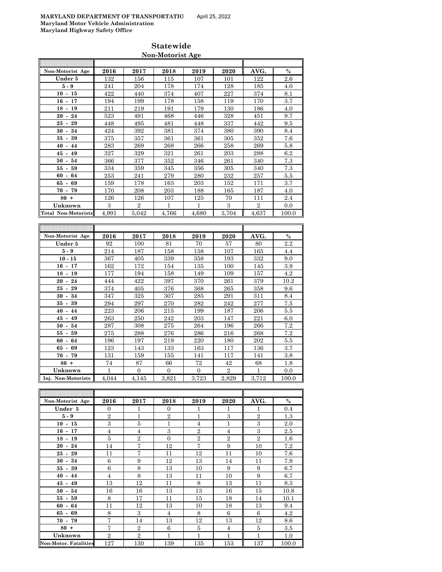| Non-Motorist Age                     | 2016                  | 2017                    | 2018       | 2019                    | 2020                    | AVG.           | $\frac{0}{0}$ |
|--------------------------------------|-----------------------|-------------------------|------------|-------------------------|-------------------------|----------------|---------------|
| Under 5                              | 132                   | 156                     | 115        | 107                     | 101                     | 122            | 2.6           |
| $5 - 9$                              | 241                   | 204                     | 178        | 174                     | 128                     | 185            | 4.0           |
| $10 - 15$                            | 422                   | 440                     | 374        | 407                     | 227                     | 374            | 8.1           |
| $16 - 17$                            | 194                   | 199                     | 178        | 158                     | 119                     | 170            | 3.7           |
| $18 - 19$                            | 211                   | 219                     | 191        | 179                     | 130                     | 186            | 4.0           |
| 24<br>$20 -$                         | 523                   | 491                     | 468        | 446                     | 328                     | 451            | 9.7           |
| 25<br>$\sim$<br>29                   | 448                   | 495                     | 481        | 448                     | 337                     | 442            | 9.5           |
| $30 -$<br>34                         | 424                   | 392                     | 381        | 374                     | 380                     | 390            | 8.4           |
| $35 -$<br>39                         | 375                   | 357                     | 361        | 361                     | 305                     | 352            | 7.6           |
| $40 - 44$                            | 283                   | 269                     | 268        | 266                     | 258                     | 269            | 5.8           |
| 45<br>- 49                           | 327                   | 329                     | 321        | 261                     | 203                     | 288            | 6.2           |
| $50 - 54$                            | 366                   | 377                     | 352        | 346                     | 261                     | 340            | 7.3           |
| 55<br>59<br>$\overline{\phantom{a}}$ | 334                   | 359                     | 345        | 356                     | 305                     | 340            | 7.3           |
| - 64<br>60                           | 253                   | 241                     | 279        | 280                     | 232                     | 257            | 5.5           |
| 65 -<br>69                           | 159                   | 178                     | 163        | 203                     | 152                     | 171            | 3.7           |
| $70 - 79$                            | 170                   | 208                     | 203        | 188                     | 165                     | 187            | 4.0           |
| $80 +$                               | 126                   | 126                     | 107        | 125                     | 70                      | 111            | 2.4           |
| Unknown                              | 3                     | $\overline{2}$          | 1          | 1                       | 3                       | $\overline{2}$ | 0.0           |
| <b>Total Non-Motorists</b>           | 4,991                 | 5.042                   | 4,766      | 4.680                   | 3.704                   | 4,637          | 100.0         |
|                                      |                       |                         |            |                         |                         |                |               |
|                                      |                       |                         |            |                         |                         |                |               |
|                                      |                       |                         |            |                         |                         |                |               |
| Non-Motorist Age                     | 2016                  | 2017                    | 2018       | 2019                    | 2020                    | AVG.           | $\%$          |
| Under 5                              | 92                    | 100                     | 81         | 70                      | 57                      | 80             | 2.2           |
| 5 - 9                                | 214                   | 187                     | 158        | 158                     | 107                     | 165            | 4.4           |
| $10 - 15$                            | 367                   | 405                     | 339        | 358                     | 193                     | 332            | 9.0           |
| $16 - 17$                            | 162                   | 172                     | 154        | 135                     | 100                     | 145            | 3.9           |
| $18 - 19$                            | 177                   | 194                     | 158        | 149                     | 109                     | 157            | 4.2           |
| $20 - 24$                            | 444                   | 422                     | 397        | 370                     | 261                     | 379            | 10.2          |
| $25 -$<br>29                         | 374                   | 405                     | 376        | 368                     | 265                     | 358            | 9.6           |
| $30 - 34$                            | 347                   | 325                     | 307        | 285                     | 291                     | 311            | 8.4           |
| $35 - 39$                            | 294                   | 297                     | 270        | 282                     | 242                     | 277            | 7.5           |
| $40 - 44$                            | 223                   | 206                     | $^{215}$   | 199                     | 187                     | 206            | 5.5           |
| $45 - 49$                            | 263                   | 250                     | 242        | 203                     | 147                     | 221            | 6.0           |
| $50 - 54$                            | 287                   | 308                     | 275        | 264                     | 196                     | 266            | 7.2           |
| $55-$<br>59                          | 275                   | 288                     | 276        | 286                     | 216                     | 268            | 7.2           |
| 64<br>$60 -$                         | 196                   | 197                     | 219        | 220                     | 180                     | 202            | 5.5           |
| 65<br>69<br>$\overline{\phantom{a}}$ | 123                   | 143                     | 133        | 163                     | 117                     | 136            | 3.7           |
| $70 -$<br>79                         | 131                   | 159                     | 155        | 141                     | 117                     | 141            | 3.8           |
| $80 +$                               | 74                    | 87                      | 66         | 72                      | 42                      | 68             | 1.8           |
| Unknown<br>Inj. Non-Motorists        | $\mathbf{1}$<br>4,044 | $\overline{0}$<br>4,145 | 0<br>3,821 | $\overline{0}$<br>3,723 | $\overline{2}$<br>2,829 | 1<br>3.712     | 0.0<br>100.0  |

| Non-Motorist Age             | 2016           | 2017           | 2018           | 2019           | 2020           | AVG.           | $\%$  |
|------------------------------|----------------|----------------|----------------|----------------|----------------|----------------|-------|
| Under 5                      | $\overline{0}$ | $\mathbf{1}$   | $\mathbf{0}$   | 1              | 1              | 1              | 0.4   |
| $5-9$                        | $\overline{2}$ | $\mathbf{1}$   | $\overline{2}$ | $\mathbf{1}$   | 3              | $\overline{2}$ | 1.3   |
| $10 - 15$                    | 3              | 5              | 1              | $\overline{4}$ | $\overline{1}$ | 3              | 2.0   |
| $16 - 17$                    | $\overline{4}$ | $\overline{4}$ | 3              | $\overline{2}$ | $\overline{4}$ | 3              | 2.5   |
| $18 - 19$                    | 5              | $\overline{2}$ | $\mathbf{0}$   | $\overline{2}$ | $\overline{2}$ | 2              | 1.6   |
| $20 - 24$                    | 14             | 7              | 12             | 7              | 9              | 10             | 7.2   |
| $25 - 29$                    | 11             | 7              | 11             | 12             | 11             | 10             | 7.6   |
| $30 - 34$                    | 6              | 9              | 12             | 13             | 14             | 11             | 7.9   |
| $35 - 39$                    | 6              | 8              | 13             | 10             | 9              | 9              | 6.7   |
| 44<br>$40 -$                 | $\overline{4}$ | 8              | 13             | 11             | 10             | 9              | 6.7   |
| $45 - 49$                    | 13             | 12             | 11             | 8              | 13             | 11             | 8.3   |
| $50 - 54$                    | 16             | 16             | 13             | 13             | 16             | 15             | 10.8  |
| $55 - 59$                    | 8              | 17             | 11             | 15             | 18             | 14             | 10.1  |
| $60 - 64$                    | 11             | 12             | 13             | 10             | 18             | 13             | 9.4   |
| $65 - 69$                    | 8              | 3              | $\overline{4}$ | 8              | 6              | 6              | 4.2   |
| $70 - 79$                    | $\overline{7}$ | 14             | 13             | 12             | 13             | 12             | 8.6   |
| $80 +$                       | 7              | $\overline{2}$ | 6              | 5              | $\overline{4}$ | 5              | 3.5   |
| Unknown                      | $\overline{2}$ | $\overline{2}$ | 1              | $\mathbf{1}$   | $\overline{1}$ | $\mathbf{1}$   | 1.0   |
| <b>Non-Motor. Fatalities</b> | 127            | 130            | 139            | 135            | 153            | 137            | 100.0 |

## **Statewide Non-Motorist Age**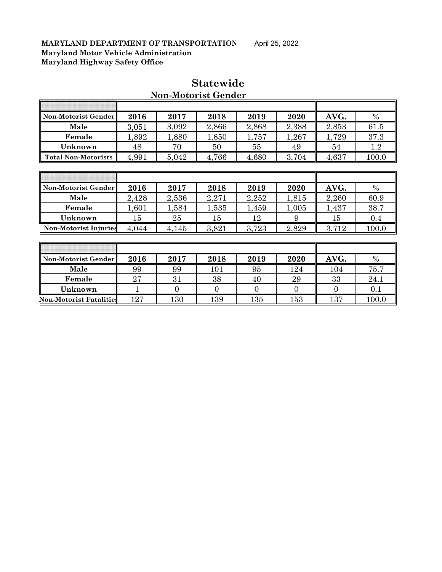| Non-Motorist Gender          | 2016  | 2017  | 2018  | 2019  | 2020  | AVG.  | $\%$    |
|------------------------------|-------|-------|-------|-------|-------|-------|---------|
| Male                         | 3,051 | 3,092 | 2,866 | 2,868 | 2,388 | 2,853 | 61.5    |
| Female                       | 1,892 | 1,880 | 1,850 | 1,757 | 1,267 | 1,729 | 37.3    |
| Unknown                      | 48    | 70    | 50    | 55    | 49    | 54    | $1.2\,$ |
| <b>Total Non-Motorists</b>   | 4,991 | 5,042 | 4,766 | 4,680 | 3,704 | 4,637 | 100.0   |
|                              |       |       |       |       |       |       |         |
|                              |       |       |       |       |       |       |         |
|                              |       |       |       |       |       |       |         |
| Non-Motorist Gender          | 2016  | 2017  | 2018  | 2019  | 2020  | AVG.  | $\%$    |
| Male                         | 2,428 | 2,536 | 2,271 | 2,252 | 1,815 | 2,260 | 60.9    |
| Female                       | 1,601 | 1,584 | 1,535 | 1,459 | 1,005 | 1,437 | 38.7    |
| Unknown                      | 15    | 25    | 15    | 12    | 9     | 15    | 0.4     |
| <b>Non-Motorist Injuries</b> | 4,044 | 4,145 | 3,821 | 3,723 | 2,829 | 3,712 | 100.0   |
|                              |       |       |       |       |       |       |         |
|                              |       |       |       |       |       |       |         |

## **Statewide Non-Motorist Gender**

| Unknown                        | ъı    | zə    | ъı    | 12      | У       | ъı       | 0.4   |
|--------------------------------|-------|-------|-------|---------|---------|----------|-------|
| <b>Non-Motorist Injuries</b>   | 4,044 | 4,145 | 3,821 | 3,723   | 2,829   | 3,712    | 100.0 |
|                                |       |       |       |         |         |          |       |
|                                |       |       |       |         |         |          |       |
| Non-Motorist Gender            | 2016  | 2017  | 2018  | 2019    | 2020    | AVG.     | $\%$  |
| Male                           | 99    | 99    | 101   | 95      | 124     | 104      | 75.7  |
| Female                         | 27    | 31    | 38    | 40      | 29      | 33       | 24.1  |
| Unknown                        |       |       |       |         |         |          | 0.1   |
| <b>Non-Motorist Fatalities</b> | 127   | L30   | 139   | $135\,$ | $153\,$ | $^{137}$ | 100.0 |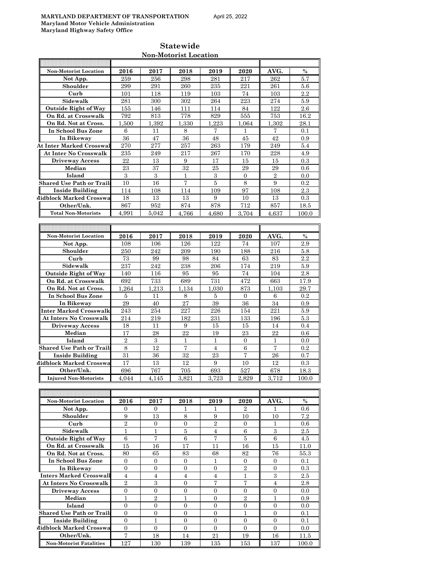| <b>Statewide</b>      |
|-----------------------|
| Non-Motorist Location |

| <b>Non-Motorist Location</b>     | 2016           | 2017             | 2018             | 2019              | 2020             | AVG.           | $\%$          |
|----------------------------------|----------------|------------------|------------------|-------------------|------------------|----------------|---------------|
| Not App.                         | 259            | 256              | 298              | 281               | 217              | 262            | 5.7           |
| Shoulder                         | 299            | 291              | 260              | 235               | 221              | 261            | 5.6           |
| Curb                             | 101            | 118              | 119              | 103               | 74               | 103            | 2.2           |
| Sidewalk                         | 281            | 300              | 302              | 264               | $223\,$          | 274            | 5.9           |
| <b>Outside Right of Way</b>      | 155            | 146              | 111              | 114               | 84               | 122            | 2.6           |
| On Rd. at Crosswalk              | 792            | 813              | 778              | 829               | 555              | 753            | 16.2          |
| On Rd. Not at Cross.             | 1.500          | 1.392            | 1.330            | 1.223             | 1.064            | 1.302          | 28.1          |
|                                  |                |                  |                  |                   |                  |                |               |
| In School Bus Zone               | 6              | 11               | 8                | 7                 | 1                | 7              | 0.1           |
| In Bikeway                       | 36             | 47               | 36               | 48                | 45               | 42             | 0.9           |
| <b>At Inter Marked Crosswal</b>  | 270            | 277              | 257              | 263               | 179              | 249            | 5.4           |
| <b>At Inter No Crosswalk</b>     | 235            | 249              | 217              | 267               | 170              | 228            | 4.9           |
| <b>Driveway Access</b>           | 22             | 13               | 9                | 17                | 15               | 15             | $0.3\,$       |
| Median                           | 23             | 37               | 32               | 25                | 29               | 29             | 0.6           |
| Island                           | 3              | 3                | $\mathbf{1}$     | 3                 | $\mathbf{0}$     | $\overline{2}$ | 0.0           |
| <b>Shared Use Path or Trails</b> | 10             | 16               | 7                | 5                 | 8                | 9              | $0.2\,$       |
| <b>Inside Building</b>           | 114            | 108              | 114              | 109               | 97               | 108            | 2.3           |
| Midblock Marked Crosswa          | 18             | 13               | 13               | 9                 | 10               | 13             | 0.3           |
| Other/Unk.                       | 867            | 952              | 874              | 878               | 712              | 857            | 18.5          |
| <b>Total Non-Motorists</b>       | 4.991          | 5,042            | 4,766            | 4,680             | 3,704            | 4,637          | 100.0         |
|                                  |                |                  |                  |                   |                  |                |               |
|                                  |                |                  |                  |                   |                  |                |               |
| <b>Non-Motorist Location</b>     | 2016           | 2017             | 2018             | 2019              | 2020             | AVG.           | $\frac{0}{0}$ |
| Not App.                         | 108            | 106              | 126              | 122               | 74               | 107            | 2.9           |
| Shoulder                         | 250            | 242              | 209              | 190               | 188              | 216            | 5.8           |
| Curb                             | 73             | 99               | 98               | 84                | 63               | 83             | 2.2           |
| Sidewalk                         | 237            | 242              | 238              | 206               | 174              | 219            | 5.9           |
|                                  |                |                  |                  |                   |                  |                |               |
| <b>Outside Right of Way</b>      | 140            | 116              | 95               | 95                | 74               | 104            | 2.8           |
| On Rd. at Crosswalk              | 692            | 733              | 689              | 731               | 472              | 663            | 17.9          |
| On Rd. Not at Cross.             | 1.264          | 1.213            | 1.134            | 1.030             | 873              | 1.103          | 29.7          |
| In School Bus Zone               | 5              | 11               | 8                | 5                 | $\overline{0}$   | 6              | 0.2           |
|                                  |                |                  |                  |                   |                  |                |               |
| In Bikeway                       | 29             | 40               | 27               | 39                | 36               | 34             | 0.9           |
| Inter Marked Crosswalk           | 243            | 254              | 227              | 226               | 154              | 221            | 5.9           |
| At Inters No Crosswalk           | 214            | 219              | 182              | 231               | 133              | 196            | 5.3           |
| <b>Driveway Access</b>           | 18             | 11               | 9                | 15                | 15               | 14             | 0.4           |
| Median                           | 17             | 28               | 22               | 19                | 23               | 22             | 0.6           |
| Island                           | $\overline{2}$ | 3                | $\mathbf{1}$     | 1                 | $\mathbf{0}$     | $\mathbf{1}$   | 0.0           |
| <b>Shared Use Path or Trails</b> | 8              | 12               | 7                | $\overline{4}$    | 6                | 7              | 0.2           |
| <b>Inside Building</b>           | 31             | 36               | 32               | 23                | 7                | 26             | 0.7           |
| Midblock Marked Crosswa          | 17             | 13               | 12               | 9                 | 10               | 12             | 0.3           |
| Other/Unk.                       | 696            | 767              | 705              | 693               | 527              | 678            | 18.3          |
| <b>Injured Non-Motorists</b>     |                |                  |                  |                   |                  |                |               |
|                                  | 4.044          | 4,145            | 3,821            | 3,723             | 2.829            | 3,712          | 100.0         |
|                                  |                |                  |                  |                   |                  |                |               |
|                                  |                |                  |                  |                   |                  |                |               |
| Non-Motorist Location            | 2016           | 2017             | 2018             | 2019              | 2020             | AVG.           | $\%$          |
| Not App.                         | $\overline{0}$ | $\overline{0}$   | 1                | 1                 | $\overline{2}$   | $\mathbf{1}$   | 0.6           |
| Shoulder                         | 9              | 13               | 8                | 9                 | 10               | 10             | 7.2           |
| Curb                             | $\,2\,$        | $\overline{0}$   | $\overline{0}$   | $\,2$             | $\overline{0}$   | $\mathbf{1}$   | 0.6           |
| Sidewalk                         | $\mathbf{1}$   | $\mathbf{1}$     | $\bf 5$          | $\overline{4}$    | $6\phantom{1}6$  | 3              | 2.5           |
| <b>Outside Right of Way</b>      | 6              | $\overline{7}$   | $\,6$            | $\scriptstyle{7}$ | 5                | $\,6\,$        | 4.5           |
| On Rd. at Crosswalk              | $15\,$         | 16               | 17               | 11                | 16               | 15             | 11.0          |
| On Rd. Not at Cross.             | 80             | 65               | 83               | 68                | 82               | 76             | 55.3          |
| In School Bus Zone               | $\overline{0}$ | $\boldsymbol{0}$ | $\boldsymbol{0}$ | 1                 | $\mathbf{0}$     | $\overline{0}$ | 0.1           |
| In Bikeway                       | 0              | 0                | 0                | $\boldsymbol{0}$  | $\overline{2}$   | $\overline{0}$ | 0.3           |
| Inters Marked Crosswall          | $\overline{4}$ | $\overline{4}$   | $\overline{4}$   | $\overline{4}$    | $\mathbf{1}$     | $\overline{3}$ | $2.5\,$       |
| <b>At Inters No Crosswalk</b>    | $\,2\,$        | $\,3$            | $\boldsymbol{0}$ | $\overline{7}$    | 7                | $\overline{4}$ | 2.8           |
| <b>Driveway Access</b>           | $\overline{0}$ | 0                | 0                | $\overline{0}$    | 0                | $\overline{0}$ | 0.0           |
| Median                           | $\mathbf{1}$   | $\sqrt{2}$       | $\mathbf{1}$     | $\overline{0}$    | $\overline{2}$   | $\mathbf{1}$   | 0.9           |
| Island                           | $\mathbf{0}$   | $\overline{0}$   | $\boldsymbol{0}$ | $\overline{0}$    | $\boldsymbol{0}$ | $\mathbf{0}$   | 0.0           |
| <b>Shared Use Path or Trails</b> | $\overline{0}$ | 0                | 0                | $\overline{0}$    | $\mathbf{1}$     | $\mathbf{0}$   | 0.1           |
| <b>Inside Building</b>           | $\mathbf{0}$   | 1                | 0                | $\overline{0}$    | $\mathbf{0}$     | $\mathbf{0}$   | 0.1           |

**Other/Unk.** 7 18 14 21 19 16 11.5 **Non-Motorist Fatalities** 127 130 139 135 153 137 100.0